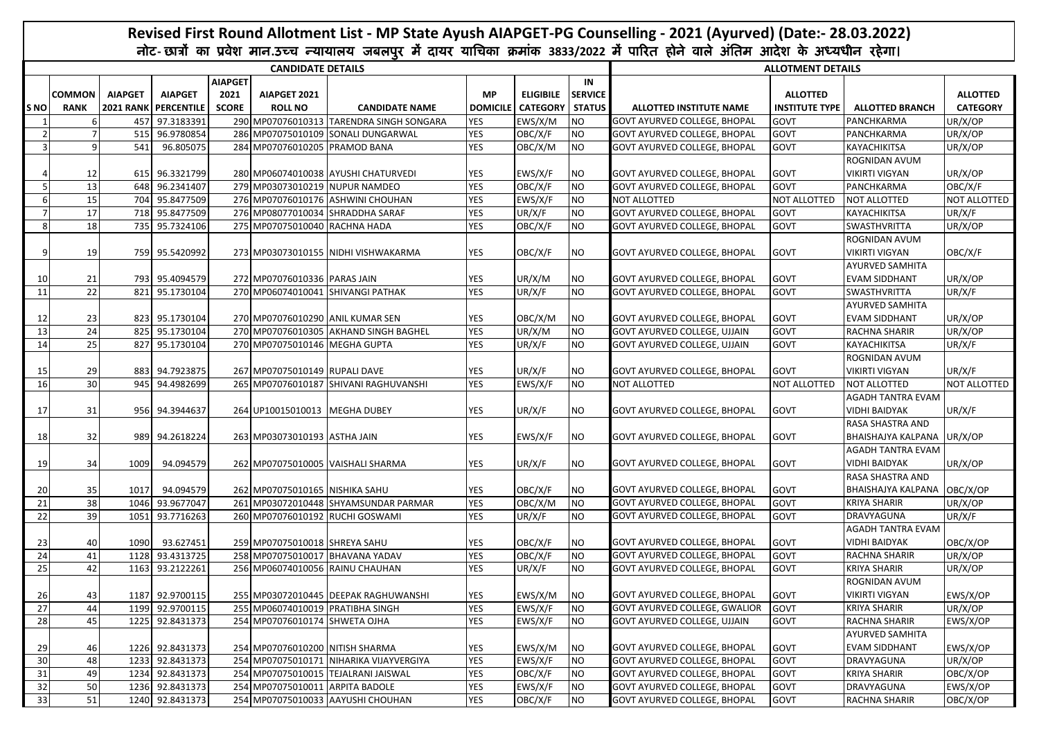|      |                              |                |                                               |                                        |                                  |                                          |                              |                                     |                                       | Revised First Round Allotment List - MP State Ayush AIAPGET-PG Counselling - 2021 (Ayurved) (Date:- 28.03.2022)                   |                                   |                                        |                                    |
|------|------------------------------|----------------|-----------------------------------------------|----------------------------------------|----------------------------------|------------------------------------------|------------------------------|-------------------------------------|---------------------------------------|-----------------------------------------------------------------------------------------------------------------------------------|-----------------------------------|----------------------------------------|------------------------------------|
|      |                              |                |                                               |                                        |                                  |                                          |                              |                                     |                                       | नोट-छात्रों का प्रवेश मान.उच्च न्यायालय जबलपुर में दायर याचिका क्रमांक 3833/2022 में पारित होने वाले अंतिम आदेश के अध्यधीन रहेगा। |                                   |                                        |                                    |
|      |                              |                |                                               |                                        | <b>CANDIDATE DETAILS</b>         |                                          |                              |                                     |                                       |                                                                                                                                   | <b>ALLOTMENT DETAILS</b>          |                                        |                                    |
| S NO | <b>COMMON</b><br><b>RANK</b> | <b>AIAPGET</b> | <b>AIAPGET</b><br><b>2021 RANK PERCENTILE</b> | <b>AIAPGET</b><br>2021<br><b>SCORE</b> | AIAPGET 2021<br><b>ROLL NO</b>   | <b>CANDIDATE NAME</b>                    | <b>MP</b><br><b>DOMICILE</b> | <b>ELIGIBILE</b><br><b>CATEGORY</b> | IN<br><b>SERVICE</b><br><b>STATUS</b> | ALLOTTED INSTITUTE NAME                                                                                                           | <b>ALLOTTED</b><br>INSTITUTE TYPE | <b>ALLOTTED BRANCH</b>                 | <b>ALLOTTED</b><br><b>CATEGORY</b> |
|      |                              |                | 457 97.3183391                                |                                        |                                  | 290 MP07076010313 TARENDRA SINGH SONGARA | <b>YES</b>                   | EWS/X/M                             | <b>NO</b>                             | <b>GOVT AYURVED COLLEGE, BHOPAL</b>                                                                                               | GOVT                              | PANCHKARMA                             | UR/X/OP                            |
|      | 7                            |                | 515 96.9780854                                |                                        |                                  | 286 MP07075010109 SONALI DUNGARWAL       | <b>YES</b>                   | OBC/X/F                             | <b>NO</b>                             | <b>GOVT AYURVED COLLEGE, BHOPAL</b>                                                                                               | <b>GOVT</b>                       | PANCHKARMA                             | UR/X/OP                            |
| 3    | 9                            | 541            | 96.805075                                     |                                        | 284 MP07076010205 PRAMOD BANA    |                                          | <b>YES</b>                   | OBC/X/M                             | <b>NO</b>                             | <b>GOVT AYURVED COLLEGE, BHOPAL</b>                                                                                               | <b>GOVT</b>                       | KAYACHIKITSA                           | UR/X/OP                            |
|      |                              |                |                                               |                                        |                                  |                                          |                              |                                     |                                       |                                                                                                                                   |                                   | ROGNIDAN AVUM                          |                                    |
|      | 12                           |                | 615 96.3321799                                |                                        |                                  | 280 MP06074010038 AYUSHI CHATURVEDI      | YES                          | EWS/X/F                             | <b>NO</b>                             | <b>GOVT AYURVED COLLEGE, BHOPAL</b>                                                                                               | GOVT                              | <b>VIKIRTI VIGYAN</b>                  | UR/X/OP                            |
|      | 13                           |                | 648 96.2341407                                |                                        | 279 MP03073010219 NUPUR NAMDEO   |                                          | <b>YES</b>                   | OBC/X/F                             | <b>NO</b>                             | <b>GOVT AYURVED COLLEGE, BHOPAL</b>                                                                                               | GOVT                              | PANCHKARMA                             | OBC/X/F                            |
| 6    | 15 <sup>1</sup>              |                | 704 95.8477509                                |                                        |                                  | 276 MP07076010176 ASHWINI CHOUHAN        | <b>YES</b>                   | EWS/X/F                             | <b>NO</b>                             | <b>NOT ALLOTTED</b>                                                                                                               | <b>NOT ALLOTTED</b>               | <b>NOT ALLOTTED</b>                    | <b>NOT ALLOTTED</b>                |
|      | 17                           |                | 718 95.8477509                                |                                        |                                  | 276 MP08077010034 SHRADDHA SARAF         | <b>YES</b>                   | UR/X/F                              | <b>NO</b>                             | GOVT AYURVED COLLEGE, BHOPAL                                                                                                      | GOVT                              | KAYACHIKITSA                           | UR/X/F                             |
| -8   | 18                           |                | 735 95.7324106                                |                                        | 275 MP07075010040 RACHNA HADA    |                                          | <b>YES</b>                   | OBC/X/F                             | <b>NO</b>                             | <b>GOVT AYURVED COLLEGE, BHOPAL</b>                                                                                               | GOVT                              | SWASTHVRITTA                           | UR/X/OP                            |
|      | 19                           |                | 759 95.5420992                                |                                        |                                  | 273 MP03073010155 NIDHI VISHWAKARMA      | <b>YES</b>                   | OBC/X/F                             | <b>NO</b>                             | <b>GOVT AYURVED COLLEGE, BHOPAL</b>                                                                                               | <b>GOVT</b>                       | ROGNIDAN AVUM<br><b>VIKIRTI VIGYAN</b> | OBC/X/F                            |
|      |                              |                |                                               |                                        |                                  |                                          |                              |                                     |                                       |                                                                                                                                   |                                   | <b>AYURVED SAMHITA</b>                 |                                    |
| 10   | 21                           |                | 793 95.4094579                                |                                        | 272 MP07076010336 PARAS JAIN     |                                          | <b>YES</b>                   | UR/X/M                              | <b>NO</b>                             | <b>GOVT AYURVED COLLEGE, BHOPAL</b>                                                                                               | GOVT                              | <b>EVAM SIDDHANT</b>                   | UR/X/OP                            |
| 11   | 22                           |                | 821 95.1730104                                |                                        |                                  | 270 MP06074010041 SHIVANGI PATHAK        | <b>YES</b>                   | UR/X/F                              | <b>NO</b>                             | <b>GOVT AYURVED COLLEGE, BHOPAL</b>                                                                                               | GOVT                              | SWASTHVRITTA                           | UR/X/F                             |
|      |                              |                |                                               |                                        |                                  |                                          |                              |                                     |                                       |                                                                                                                                   |                                   | <b>AYURVED SAMHITA</b>                 |                                    |
| 12   | 23                           |                | 823 95.1730104                                |                                        |                                  | 270 MP07076010290 ANIL KUMAR SEN         | YES                          | OBC/X/M                             | <b>NO</b>                             | <b>GOVT AYURVED COLLEGE, BHOPAL</b>                                                                                               | GOVT                              | <b>EVAM SIDDHANT</b>                   | UR/X/OP                            |
| 13   | 24                           |                | 825 95.1730104                                |                                        |                                  | 270 MP07076010305 AKHAND SINGH BAGHEL    | <b>YES</b>                   | UR/X/M                              | <b>NO</b>                             | <b>GOVT AYURVED COLLEGE, UJJAIN</b>                                                                                               | GOVT                              | RACHNA SHARIR                          | UR/X/OP                            |
| 14   | <b>25</b>                    |                | 827 95.1730104                                |                                        | 270 MP07075010146 MEGHA GUPTA    |                                          | <b>YES</b>                   | UR/X/F                              | <b>NO</b>                             | <b>GOVT AYURVED COLLEGE, UJJAIN</b>                                                                                               | GOVT                              | KAYACHIKITSA                           | UR/X/F                             |
|      |                              |                |                                               |                                        |                                  |                                          |                              |                                     |                                       |                                                                                                                                   |                                   | ROGNIDAN AVUM                          |                                    |
| 15   | 29                           |                | 883 94.7923875                                |                                        | 267 MP07075010149 RUPALI DAVE    |                                          | YES                          | UR/X/F                              | <b>NO</b>                             | <b>GOVT AYURVED COLLEGE, BHOPAL</b>                                                                                               | <b>GOVT</b>                       | <b>VIKIRTI VIGYAN</b>                  | UR/X/F                             |
| 16   | 30 <sup>1</sup>              |                | 945 94.4982699                                |                                        |                                  | 265 MP07076010187 SHIVANI RAGHUVANSHI    | <b>YES</b>                   | EWS/X/F                             | <b>NO</b>                             | NOT ALLOTTED                                                                                                                      | NOT ALLOTTED                      | NOT ALLOTTED                           | <b>NOT ALLOTTED</b>                |
|      |                              |                |                                               |                                        |                                  |                                          |                              |                                     |                                       |                                                                                                                                   |                                   | <b>AGADH TANTRA EVAM</b>               |                                    |
| 17   | 31                           |                | 956 94.3944637                                |                                        | 264 UP10015010013 MEGHA DUBEY    |                                          | <b>YES</b>                   | UR/X/F                              | <b>NO</b>                             | GOVT AYURVED COLLEGE, BHOPAL                                                                                                      | GOVT                              | <b>VIDHI BAIDYAK</b>                   | UR/X/F                             |
|      |                              |                |                                               |                                        |                                  |                                          |                              |                                     |                                       |                                                                                                                                   |                                   | RASA SHASTRA AND                       |                                    |
| 18   | 32                           |                | 989 94.2618224                                |                                        | 263 MP03073010193 ASTHA JAIN     |                                          | <b>YES</b>                   | EWS/X/F                             | <b>NO</b>                             | GOVT AYURVED COLLEGE, BHOPAL                                                                                                      | GOVT                              | BHAISHAJYA KALPANA UR/X/OP             |                                    |
|      |                              |                |                                               |                                        |                                  |                                          |                              |                                     |                                       |                                                                                                                                   |                                   | <b>AGADH TANTRA EVAM</b>               |                                    |
| 19   | 34                           | 1009           | 94.094579                                     |                                        |                                  | 262 MP07075010005 VAISHALI SHARMA        | YES                          | UR/X/F                              | NO.                                   | GOVT AYURVED COLLEGE, BHOPAL                                                                                                      | <b>GOVT</b>                       | <b>VIDHI BAIDYAK</b>                   | UR/X/OP                            |
|      |                              |                |                                               |                                        |                                  |                                          |                              |                                     |                                       |                                                                                                                                   |                                   | RASA SHASTRA AND                       |                                    |
| 20   | 35                           | 1017           | 94.094579                                     |                                        | 262 MP07075010165 NISHIKA SAHU   |                                          | YES                          | OBC/X/F                             | <b>NO</b>                             | <b>GOVT AYURVED COLLEGE, BHOPAL</b>                                                                                               | GOVT                              | BHAISHAJYA KALPANA OBC/X/OP            |                                    |
| 21   | 38                           |                | 1046 93.9677047                               | 261                                    |                                  | MP03072010448 SHYAMSUNDAR PARMAR         | <b>YES</b>                   | OBC/X/M                             | <b>NO</b>                             | <b>GOVT AYURVED COLLEGE, BHOPAL</b>                                                                                               | GOVT                              | <b>KRIYA SHARIR</b>                    | UR/X/OP                            |
| 22   | 39                           | 1051           | 93.7716263                                    |                                        |                                  | 260 MP07076010192 RUCHI GOSWAMI          | <b>YES</b>                   | UR/X/F                              | <b>NO</b>                             | <b>GOVT AYURVED COLLEGE, BHOPAL</b>                                                                                               | GOVT                              | DRAVYAGUNA                             | UR/X/F                             |
|      |                              |                |                                               |                                        |                                  |                                          |                              |                                     |                                       |                                                                                                                                   |                                   | AGADH TANTRA EVAM                      |                                    |
| 23   | 40                           | 1090           | 93.627451                                     |                                        | 259 MP07075010018 SHREYA SAHU    |                                          | YES                          | OBC/X/F                             | <b>NO</b>                             | <b>GOVT AYURVED COLLEGE, BHOPAL</b>                                                                                               | <b>GOVT</b>                       | <b>VIDHI BAIDYAK</b>                   | OBC/X/OP                           |
| 24   | 41                           |                | 1128 93.4313725                               |                                        |                                  | 258 MP07075010017 BHAVANA YADAV          | <b>YES</b>                   | OBC/X/F                             | <b>NO</b>                             | <b>GOVT AYURVED COLLEGE, BHOPAL</b>                                                                                               | GOVT                              | RACHNA SHARIR                          | UR/X/OP                            |
| 25   | 42                           |                | 1163 93.2122261                               |                                        |                                  | 256 MP06074010056 RAINU CHAUHAN          | YES                          | UR/X/F                              | <b>NO</b>                             | GOVT AYURVED COLLEGE, BHOPAL                                                                                                      | GOVT                              | <b>KRIYA SHARIR</b>                    | UR/X/OP                            |
|      |                              |                |                                               |                                        |                                  |                                          |                              |                                     |                                       |                                                                                                                                   |                                   | ROGNIDAN AVUM                          |                                    |
| 26   | 43                           |                | 1187 92.9700115                               |                                        |                                  | 255 MP03072010445 DEEPAK RAGHUWANSHI     | YES                          | EWS/X/M                             | <b>NO</b>                             | <b>GOVT AYURVED COLLEGE, BHOPAL</b>                                                                                               | <b>GOVT</b>                       | <b>VIKIRTI VIGYAN</b>                  | EWS/X/OP                           |
| 27   | 44                           |                | 1199 92.9700115                               |                                        | 255 MP06074010019 PRATIBHA SINGH |                                          | <b>YES</b>                   | EWS/X/F                             | <b>NO</b>                             | GOVT AYURVED COLLEGE, GWALIOR                                                                                                     | <b>GOVT</b>                       | <b>KRIYA SHARIR</b>                    | UR/X/OP                            |
| 28   | 45                           |                | 1225 92.8431373                               |                                        | 254 MP07076010174 SHWETA OJHA    |                                          | <b>YES</b>                   | EWS/X/F                             | <b>NO</b>                             | <b>GOVT AYURVED COLLEGE, UJJAIN</b>                                                                                               | GOVT                              | RACHNA SHARIR                          | EWS/X/OP                           |
|      |                              |                |                                               |                                        |                                  |                                          |                              |                                     |                                       |                                                                                                                                   |                                   | <b>AYURVED SAMHITA</b>                 |                                    |
| 29   | 46                           |                | 1226 92.8431373                               |                                        | 254 MP07076010200 NITISH SHARMA  |                                          | YES                          | EWS/X/M                             | <b>NO</b>                             | GOVT AYURVED COLLEGE, BHOPAL                                                                                                      | <b>GOVT</b>                       | <b>EVAM SIDDHANT</b>                   | EWS/X/OP                           |
| 30   | 48                           |                | 1233 92.8431373                               |                                        |                                  | 254 MP07075010171 NIHARIKA VIJAYVERGIYA  | <b>YES</b>                   | EWS/X/F                             | <b>NO</b>                             | <b>GOVT AYURVED COLLEGE, BHOPAL</b>                                                                                               | GOVT                              | DRAVYAGUNA                             | UR/X/OP                            |
| 31   | 49                           |                | 1234 92.8431373                               |                                        |                                  | 254 MP07075010015 TEJALRANI JAISWAL      | <b>YES</b>                   | OBC/X/F                             | <b>NO</b>                             | <b>GOVT AYURVED COLLEGE, BHOPAL</b>                                                                                               | GOVT                              | <b>KRIYA SHARIR</b>                    | OBC/X/OP                           |
| 32   | 50                           |                | 1236 92.8431373                               |                                        | 254 MP07075010011 ARPITA BADOLE  |                                          | <b>YES</b>                   | EWS/X/F                             | <b>NO</b>                             | <b>GOVT AYURVED COLLEGE, BHOPAL</b>                                                                                               | <b>GOVT</b>                       | DRAVYAGUNA                             | EWS/X/OP                           |
| 33   | 51                           |                | 1240 92.8431373                               |                                        |                                  | 254 MP07075010033 AAYUSHI CHOUHAN        | <b>YES</b>                   | OBC/X/F                             | <b>NO</b>                             | GOVT AYURVED COLLEGE, BHOPAL                                                                                                      | GOVT                              | RACHNA SHARIR                          | OBC/X/OP                           |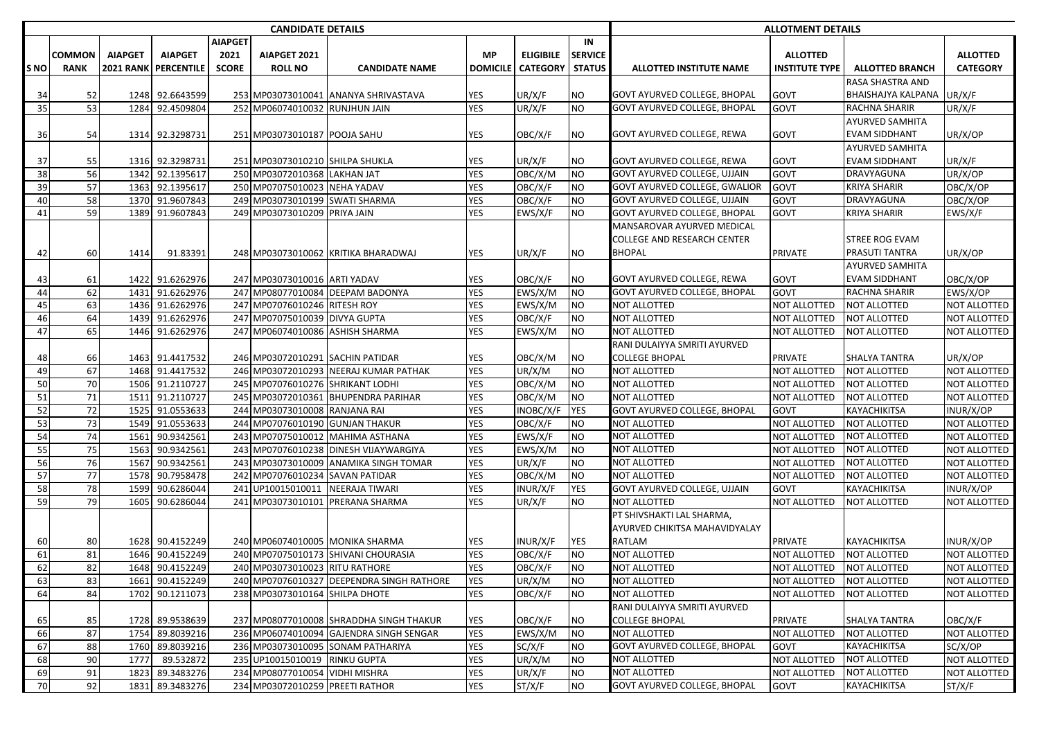|            |             |                |                      |                | <b>CANDIDATE DETAILS</b>         |                                           |                 | <b>ALLOTMENT DETAILS</b> |                |                                      |                     |                           |                 |
|------------|-------------|----------------|----------------------|----------------|----------------------------------|-------------------------------------------|-----------------|--------------------------|----------------|--------------------------------------|---------------------|---------------------------|-----------------|
|            |             |                |                      | <b>AIAPGET</b> |                                  |                                           |                 |                          | IN             |                                      |                     |                           |                 |
|            | COMMON      | <b>AIAPGET</b> | <b>AIAPGET</b>       | 2021           | AIAPGET 2021                     |                                           | <b>MP</b>       | <b>ELIGIBILE</b>         | <b>SERVICE</b> |                                      | <b>ALLOTTED</b>     |                           | <b>ALLOTTED</b> |
| <b>SNO</b> | <b>RANK</b> |                | 2021 RANK PERCENTILE | <b>SCORE</b>   | <b>ROLL NO</b>                   | <b>CANDIDATE NAME</b>                     | <b>DOMICILE</b> | <b>CATEGORY</b>          | <b>STATUS</b>  | ALLOTTED INSTITUTE NAME              | INSTITUTE TYPE      | <b>ALLOTTED BRANCH</b>    | <b>CATEGORY</b> |
|            |             |                |                      |                |                                  |                                           |                 |                          |                |                                      |                     | RASA SHASTRA AND          |                 |
| 34         | 52          |                | 1248 92.6643599      |                |                                  | 253 MP03073010041 ANANYA SHRIVASTAVA      | YES             | UR/X/F                   | NO             | GOVT AYURVED COLLEGE, BHOPAL         | GOVT                | <b>BHAISHAJYA KALPANA</b> | UR/X/F          |
| 35         | 53          |                | 1284 92.4509804      |                | 252 MP06074010032 RUNJHUN JAIN   |                                           | <b>YES</b>      | UR/X/F                   | <b>NO</b>      | GOVT AYURVED COLLEGE, BHOPAL         | GOVT                | RACHNA SHARIR             | UR/X/F          |
|            |             |                |                      |                |                                  |                                           |                 |                          |                |                                      |                     | <b>AYURVED SAMHITA</b>    |                 |
| 36         | 54          |                | 1314 92.3298731      |                | 251 MP03073010187 POOJA SAHU     |                                           | YES             | OBC/X/F                  | <b>NO</b>      | GOVT AYURVED COLLEGE, REWA           | GOVT                | <b>EVAM SIDDHANT</b>      | UR/X/OP         |
|            |             |                |                      |                |                                  |                                           |                 |                          |                |                                      |                     | <b>AYURVED SAMHITA</b>    |                 |
| 37         | 55          |                | 1316 92.3298731      |                | 251 MP03073010210 SHILPA SHUKLA  |                                           | YES             | UR/X/F                   | NO             | GOVT AYURVED COLLEGE, REWA           | GOVT                | <b>EVAM SIDDHANT</b>      | UR/X/F          |
| 38         | 56          |                | 1342 92.1395617      |                | 250 MP03072010368 LAKHAN JAT     |                                           | <b>YES</b>      | OBC/X/M                  | <b>NO</b>      | GOVT AYURVED COLLEGE, UJJAIN         | GOVT                | DRAVYAGUNA                | UR/X/OP         |
| 39         | 57          |                | 1363 92.1395617      |                | 250 MP07075010023 NEHA YADAV     |                                           | <b>YES</b>      | OBC/X/F                  | <b>NO</b>      | <b>GOVT AYURVED COLLEGE, GWALIOR</b> | GOVT                | <b>KRIYA SHARIR</b>       | OBC/X/OP        |
| 40         | 58          |                | 1370 91.9607843      |                | 249 MP03073010199 SWATI SHARMA   |                                           | YES             | OBC/X/F                  | <b>NO</b>      | <b>GOVT AYURVED COLLEGE, UJJAIN</b>  | GOVT                | DRAVYAGUNA                | OBC/X/OP        |
| 41         | 59          |                | 1389 91.9607843      |                | 249 MP03073010209 PRIYA JAIN     |                                           | <b>YES</b>      | EWS/X/F                  | <b>NO</b>      | <b>GOVT AYURVED COLLEGE, BHOPAL</b>  | GOVT                | KRIYA SHARIR              | EWS/X/F         |
|            |             |                |                      |                |                                  |                                           |                 |                          |                | MANSAROVAR AYURVED MEDICAL           |                     |                           |                 |
|            |             |                |                      |                |                                  |                                           |                 |                          |                | COLLEGE AND RESEARCH CENTER          |                     | STREE ROG EVAM            |                 |
| 42         | 60          | 1414           | 91.83391             |                |                                  | 248 MP03073010062 KRITIKA BHARADWAJ       | YES             | UR/X/F                   | NO             | BHOPAL                               | PRIVATE             | <b>PRASUTI TANTRA</b>     | UR/X/OP         |
|            |             |                |                      |                |                                  |                                           |                 |                          |                |                                      |                     | <b>AYURVED SAMHITA</b>    |                 |
| 43         | 61          |                | 1422 91.6262976      |                | 247 MP03073010016 ARTI YADAV     |                                           | YES             | OBC/X/F                  | <b>NO</b>      | GOVT AYURVED COLLEGE, REWA           | GOVT                | <b>EVAM SIDDHANT</b>      | OBC/X/OP        |
| 44         | 62          |                | 1431 91.6262976      |                |                                  | 247 MP08077010084 DEEPAM BADONYA          | <b>YES</b>      | EWS/X/M                  | <b>NO</b>      | <b>GOVT AYURVED COLLEGE, BHOPAL</b>  | GOVT                | <b>RACHNA SHARIR</b>      | EWS/X/OP        |
| 45         | 63          |                | 1436 91.6262976      |                | 247 MP07076010246 RITESH ROY     |                                           | <b>YES</b>      | EWS/X/M                  | NO             | NOT ALLOTTED                         | <b>NOT ALLOTTED</b> | <b>NOT ALLOTTED</b>       | NOT ALLOTTED    |
| 46         | 64          |                | 1439 91.6262976      |                | 247 MP07075010039 DIVYA GUPTA    |                                           | YES             | OBC/X/F                  | <b>NO</b>      | NOT ALLOTTED                         | NOT ALLOTTED        | <b>NOT ALLOTTED</b>       | NOT ALLOTTED    |
| 47         | 65          |                | 1446 91.6262976      |                | 247 MP06074010086 ASHISH SHARMA  |                                           | <b>YES</b>      | EWS/X/M                  | <b>NO</b>      | NOT ALLOTTED                         | NOT ALLOTTED        | <b>NOT ALLOTTED</b>       | NOT ALLOTTED    |
|            |             |                |                      |                |                                  |                                           |                 |                          |                | RANI DULAIYYA SMRITI AYURVED         |                     |                           |                 |
| 48         | 66          |                | 1463 91.4417532      |                | 246 MP03072010291 SACHIN PATIDAR |                                           | YES             | OBC/X/M                  | NO             | <b>COLLEGE BHOPAL</b>                | PRIVATE             | <b>SHALYA TANTRA</b>      | UR/X/OP         |
| 49         | 67          |                | 1468 91.4417532      |                |                                  | 246 MP03072010293 NEERAJ KUMAR PATHAK     | <b>YES</b>      | UR/X/M                   | <b>NO</b>      | NOT ALLOTTED                         | <b>NOT ALLOTTED</b> | <b>NOT ALLOTTED</b>       | NOT ALLOTTED    |
| 50         | 70          |                | 1506 91.2110727      |                | 245 MP07076010276 SHRIKANT LODHI |                                           | <b>YES</b>      | OBC/X/M                  | <b>NO</b>      | NOT ALLOTTED                         | NOT ALLOTTED        | <b>NOT ALLOTTED</b>       | NOT ALLOTTED    |
| 51         | 71          |                | 1511 91.2110727      |                |                                  | 245 MP03072010361 BHUPENDRA PARIHAR       | <b>YES</b>      | OBC/X/M                  | <b>NO</b>      | NOT ALLOTTED                         | NOT ALLOTTED        | <b>NOT ALLOTTED</b>       | NOT ALLOTTED    |
| 52         | 72          |                | 1525 91.0553633      |                | 244 MP03073010008 RANJANA RAI    |                                           | YES             | INOBC/X/F                | <b>YES</b>     | GOVT AYURVED COLLEGE, BHOPAL         | GOVT                | <b>KAYACHIKITSA</b>       | INUR/X/OP       |
| 53         | 73          |                | 1549 91.0553633      |                |                                  | 244 MP07076010190 GUNJAN THAKUR           | YES             | OBC/X/F                  | <b>NO</b>      | <b>NOT ALLOTTED</b>                  | <b>NOT ALLOTTED</b> | <b>NOT ALLOTTED</b>       | NOT ALLOTTED    |
| 54         | 74          | 1561           | 90.9342561           |                |                                  | 243 MP07075010012 MAHIMA ASTHANA          | YES             | EWS/X/F                  | <b>NO</b>      | NOT ALLOTTED                         | NOT ALLOTTED        | <b>NOT ALLOTTED</b>       | NOT ALLOTTED    |
| 55         | 75          | 1563           | 90.9342561           |                |                                  | 243 MP07076010238 DINESH VIJAYWARGIYA     | YES             | EWS/X/M                  | <b>NO</b>      | <b>NOT ALLOTTED</b>                  | NOT ALLOTTED        | <b>NOT ALLOTTED</b>       | NOT ALLOTTED    |
| 56         | 76          | 1567           | 90.9342561           |                |                                  | 243 MP03073010009 ANAMIKA SINGH TOMAR     | YES             | UR/X/F                   | <b>NO</b>      | <b>NOT ALLOTTED</b>                  | NOT ALLOTTED        | <b>NOT ALLOTTED</b>       | NOT ALLOTTED    |
| 57         | 77          |                | 1578 90.7958478      |                | 242 MP07076010234                | <b>SAVAN PATIDAR</b>                      | <b>YES</b>      | OBC/X/M                  | NO.            | NOT ALLOTTED                         | <b>NOT ALLOTTED</b> | <b>NOT ALLOTTED</b>       | NOT ALLOTTED    |
| 58         | 78          | 1599           | 90.6286044           |                | 241 UP10015010011                | NEERAJA TIWARI                            | YES             | INUR/X/F                 | YES            | GOVT AYURVED COLLEGE, UJJAIN         | GOVT                | KAYACHIKITSA              | INUR/X/OP       |
| 59         | 79          | 1605           | 90.6286044           |                | 241 MP03073010101                | PRERANA SHARMA                            | <b>YES</b>      | UR/X/F                   | NO             | <b>NOT ALLOTTED</b>                  | NOT ALLOTTED        | <b>NOT ALLOTTED</b>       | NOT ALLOTTED    |
|            |             |                |                      |                |                                  |                                           |                 |                          |                | PT SHIVSHAKTI LAL SHARMA,            |                     |                           |                 |
|            |             |                |                      |                |                                  |                                           |                 |                          |                | AYURVED CHIKITSA MAHAVIDYALAY        |                     |                           |                 |
| 60         | 80          |                | 1628 90.4152249      |                |                                  | 240 MP06074010005 MONIKA SHARMA           | YES             | INUR/X/F                 | YES            | RATLAM                               | <b>PRIVATE</b>      | <b>KAYACHIKITSA</b>       | INUR/X/OP       |
| 61         | 81          |                | 1646 90.4152249      |                |                                  | 240 MP07075010173 SHIVANI CHOURASIA       | YES             | OBC/X/F                  | <b>NO</b>      | NOT ALLOTTED                         | NOT ALLOTTED        | <b>NOT ALLOTTED</b>       | NOT ALLOTTED    |
| 62         | 82          |                | 1648 90.4152249      |                | 240 MP03073010023 RITU RATHORE   |                                           | <b>YES</b>      | OBC/X/F                  | <b>NO</b>      | <b>NOT ALLOTTED</b>                  | NOT ALLOTTED        | <b>NOT ALLOTTED</b>       | NOT ALLOTTED    |
| 63         | 83          |                | 1661 90.4152249      |                |                                  | 240 MP07076010327 DEEPENDRA SINGH RATHORE | YES             | UR/X/M                   | <b>NO</b>      | <b>NOT ALLOTTED</b>                  | NOT ALLOTTED        | <b>NOT ALLOTTED</b>       | NOT ALLOTTED    |
| 64         | 84          |                | 1702 90.1211073      |                | 238 MP03073010164 SHILPA DHOTE   |                                           | <b>YES</b>      | OBC/X/F                  | <b>NO</b>      | NOT ALLOTTED                         | NOT ALLOTTED        | <b>NOT ALLOTTED</b>       | NOT ALLOTTED    |
|            |             |                |                      |                |                                  |                                           |                 |                          |                | RANI DULAIYYA SMRITI AYURVED         |                     |                           |                 |
| 65         | 85          |                | 1728 89.9538639      |                |                                  | 237 MP08077010008 SHRADDHA SINGH THAKUR   | YES             | OBC/X/F                  | NO             | <b>COLLEGE BHOPAL</b>                | <b>PRIVATE</b>      | SHALYA TANTRA             | OBC/X/F         |
| 66         | 87          | 1754           | 89.8039216           |                |                                  | 236 MP06074010094 GAJENDRA SINGH SENGAR   | YES             | EWS/X/M                  | <b>NO</b>      | <b>NOT ALLOTTED</b>                  | NOT ALLOTTED        | <b>NOT ALLOTTED</b>       | NOT ALLOTTED    |
| 67         | 88          |                | 1760 89.8039216      |                |                                  | 236 MP03073010095 SONAM PATHARIYA         | YES             | SC/X/F                   | <b>NO</b>      | <b>GOVT AYURVED COLLEGE, BHOPAL</b>  | GOVT                | <b>KAYACHIKITSA</b>       | SC/X/OP         |
| 68         | 90          | 1777           | 89.532872            |                | 235 UP10015010019 RINKU GUPTA    |                                           | YES             | UR/X/M                   | <b>NO</b>      | NOT ALLOTTED                         | <b>NOT ALLOTTED</b> | <b>NOT ALLOTTED</b>       | NOT ALLOTTED    |
| 69         | 91          | 1823           | 89.3483276           |                | 234 MP08077010054 VIDHI MISHRA   |                                           | YES             | UR/X/F                   | <b>NO</b>      | <b>NOT ALLOTTED</b>                  | NOT ALLOTTED        | <b>NOT ALLOTTED</b>       | NOT ALLOTTED    |
| 70         | 92          |                | 1831 89.3483276      |                | 234 MP03072010259 PREETI RATHOR  |                                           | YES             | ST/X/F                   | <b>NO</b>      | GOVT AYURVED COLLEGE, BHOPAL         | GOVT                | KAYACHIKITSA              | ST/X/F          |
|            |             |                |                      |                |                                  |                                           |                 |                          |                |                                      |                     |                           |                 |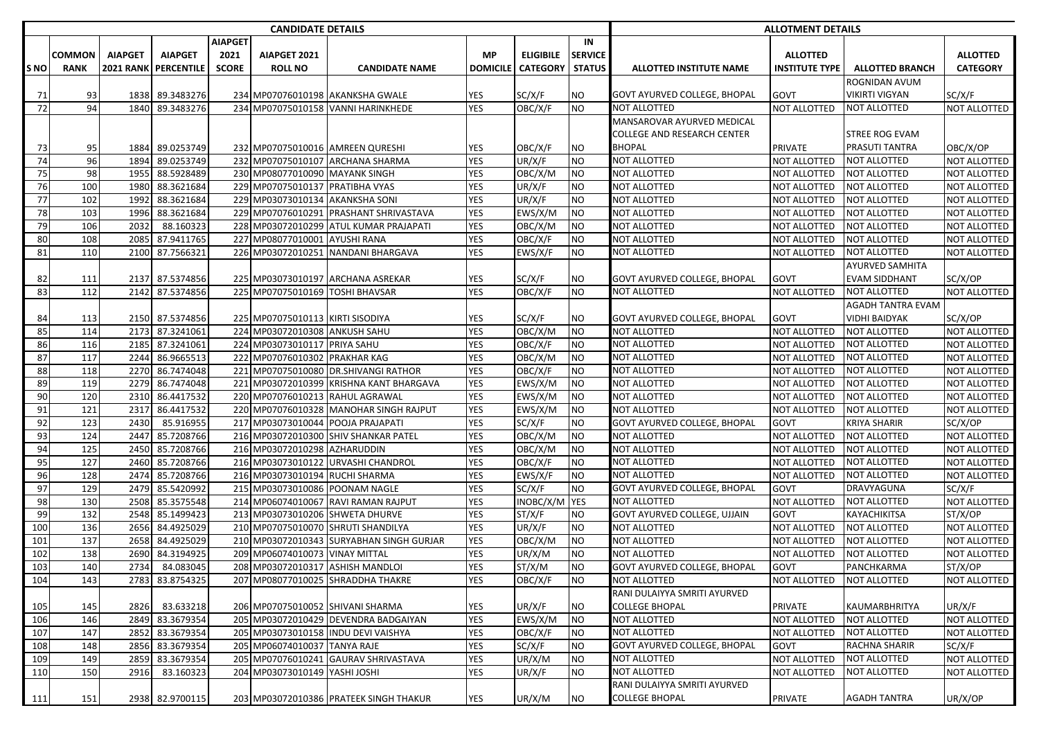|      |             |                |                      |                | <b>CANDIDATE DETAILS</b>         |                                         |                 |                  |                |                                     | <b>ALLOTMENT DETAILS</b> |                        |                     |  |  |  |
|------|-------------|----------------|----------------------|----------------|----------------------------------|-----------------------------------------|-----------------|------------------|----------------|-------------------------------------|--------------------------|------------------------|---------------------|--|--|--|
|      |             |                |                      | <b>AIAPGET</b> |                                  |                                         |                 |                  | IN             |                                     |                          |                        |                     |  |  |  |
|      | COMMON      | <b>AIAPGET</b> | <b>AIAPGET</b>       | 2021           | AIAPGET 2021                     |                                         | МP              | <b>ELIGIBILE</b> | <b>SERVICE</b> |                                     | <b>ALLOTTED</b>          |                        | <b>ALLOTTED</b>     |  |  |  |
| S NO | <b>RANK</b> |                | 2021 RANK PERCENTILE | <b>SCORE</b>   | <b>ROLL NO</b>                   | <b>CANDIDATE NAME</b>                   | <b>DOMICILE</b> | <b>CATEGORY</b>  | <b>STATUS</b>  | ALLOTTED INSTITUTE NAME             | INSTITUTE TYPE           | <b>ALLOTTED BRANCH</b> | <b>CATEGORY</b>     |  |  |  |
|      |             |                |                      |                |                                  |                                         |                 |                  |                |                                     |                          | ROGNIDAN AVUM          |                     |  |  |  |
| 71   | 93          |                | 1838 89.3483276      |                |                                  | 234 MP07076010198 AKANKSHA GWALE        | YES             | SC/X/F           | NO             | <b>GOVT AYURVED COLLEGE, BHOPAL</b> | GOVT                     | <b>VIKIRTI VIGYAN</b>  | SC/X/F              |  |  |  |
| 72   | 94          | 1840           | 89.3483276           |                |                                  | 234 MP07075010158 VANNI HARINKHEDE      | <b>YES</b>      | OBC/X/F          | <b>NO</b>      | NOT ALLOTTED                        | NOT ALLOTTED             | <b>NOT ALLOTTED</b>    | NOT ALLOTTED        |  |  |  |
|      |             |                |                      |                |                                  |                                         |                 |                  |                | MANSAROVAR AYURVED MEDICAL          |                          |                        |                     |  |  |  |
|      |             |                |                      |                |                                  |                                         |                 |                  |                | <b>COLLEGE AND RESEARCH CENTER</b>  |                          | STREE ROG EVAM         |                     |  |  |  |
| 73   | 95          |                | 1884 89.0253749      |                |                                  | 232 MP07075010016 AMREEN QURESHI        | YES             | OBC/X/F          | ΝO             | <b>BHOPAL</b>                       | <b>PRIVATE</b>           | PRASUTI TANTRA         | OBC/X/OP            |  |  |  |
| 74   | 96          | 1894           | 89.0253749           |                |                                  | 232 MP07075010107 ARCHANA SHARMA        | <b>YES</b>      | UR/X/F           | <b>NO</b>      | <b>NOT ALLOTTED</b>                 | NOT ALLOTTED             | <b>NOT ALLOTTED</b>    | NOT ALLOTTED        |  |  |  |
| 75   | 98          |                | 1955 88.5928489      |                | 230 MP08077010090 MAYANK SINGH   |                                         | <b>YES</b>      | OBC/X/M          | <b>NO</b>      | <b>NOT ALLOTTED</b>                 | NOT ALLOTTED             | <b>NOT ALLOTTED</b>    | NOT ALLOTTED        |  |  |  |
| 76   | 100         |                | 1980 88.3621684      |                | 229 MP07075010137                | <b>PRATIBHA VYAS</b>                    | <b>YES</b>      | UR/X/F           | <b>NO</b>      | <b>NOT ALLOTTED</b>                 | <b>NOT ALLOTTED</b>      | <b>NOT ALLOTTED</b>    | NOT ALLOTTED        |  |  |  |
| 77   | 102         | 1992           | 88.3621684           |                | 229 MP03073010134 AKANKSHA SONI  |                                         | YES             | UR/X/F           | <b>NO</b>      | NOT ALLOTTED                        | <b>NOT ALLOTTED</b>      | NOT ALLOTTED           | NOT ALLOTTED        |  |  |  |
| 78   | 103         | 1996           | 88.3621684           |                | 229 MP07076010291                | <b>PRASHANT SHRIVASTAVA</b>             | <b>YES</b>      | EWS/X/M          | <b>NO</b>      | NOT ALLOTTED                        | <b>NOT ALLOTTED</b>      | <b>NOT ALLOTTED</b>    | NOT ALLOTTED        |  |  |  |
| 79   | 106         | 2032           | 88.160323            |                |                                  | 228 MP03072010299 ATUL KUMAR PRAJAPATI  | YES             | OBC/X/M          | <b>NO</b>      | NOT ALLOTTED                        | <b>NOT ALLOTTED</b>      | <b>NOT ALLOTTED</b>    | NOT ALLOTTED        |  |  |  |
| 80   | 108         | 2085           | 87.9411765           |                | 227 MP08077010001                | <b>AYUSHI RANA</b>                      | <b>YES</b>      | OBC/X/F          | <b>NO</b>      | <b>NOT ALLOTTED</b>                 | <b>NOT ALLOTTED</b>      | <b>NOT ALLOTTED</b>    | NOT ALLOTTED        |  |  |  |
| 81   | 110         |                | 2100 87.7566321      |                | 226 MP03072010251                | NANDANI BHARGAVA                        | <b>YES</b>      | EWS/X/F          | NO             | NOT ALLOTTED                        | NOT ALLOTTED             | <b>NOT ALLOTTED</b>    | NOT ALLOTTED        |  |  |  |
|      |             |                |                      |                |                                  |                                         |                 |                  |                |                                     |                          | AYURVED SAMHITA        |                     |  |  |  |
| 82   | 111         |                | 2137 87.5374856      |                |                                  | 225 MP03073010197 ARCHANA ASREKAR       | <b>YES</b>      | SC/X/F           | <b>NO</b>      | <b>GOVT AYURVED COLLEGE, BHOPAL</b> | GOVT                     | <b>EVAM SIDDHANT</b>   | SC/X/OP             |  |  |  |
| 83   | 112         |                | 2142 87.5374856      |                | 225 MP07075010169 TOSHI BHAVSAR  |                                         | <b>YES</b>      | OBC/X/F          | <b>NO</b>      | <b>NOT ALLOTTED</b>                 | NOT ALLOTTED             | NOT ALLOTTED           | NOT ALLOTTED        |  |  |  |
|      |             |                |                      |                |                                  |                                         |                 |                  |                |                                     |                          | AGADH TANTRA EVAM      |                     |  |  |  |
| 84   | 113         |                | 2150 87.5374856      |                | 225 MP07075010113 KIRTI SISODIYA |                                         | YES             | SC/X/F           | ΝO             | GOVT AYURVED COLLEGE, BHOPAL        | GOVT                     | VIDHI BAIDYAK          | SC/X/OP             |  |  |  |
| 85   | 114         | 2173           | 87.3241061           |                | 224 MP03072010308 ANKUSH SAHU    |                                         | <b>YES</b>      | OBC/X/M          | <b>NO</b>      | NOT ALLOTTED                        | NOT ALLOTTED             | NOT ALLOTTED           | NOT ALLOTTED        |  |  |  |
| 86   | 116         |                | 2185 87.3241061      |                | 224 MP03073010117 PRIYA SAHU     |                                         | YES             | OBC/X/F          | <b>NO</b>      | NOT ALLOTTED                        | <b>NOT ALLOTTED</b>      | <b>NOT ALLOTTED</b>    | NOT ALLOTTED        |  |  |  |
| 87   | 117         |                | 2244 86.9665513      |                | 222 MP07076010302 PRAKHAR KAG    |                                         | YES             | OBC/X/M          | NO.            | <b>NOT ALLOTTED</b>                 | NOT ALLOTTED             | <b>NOT ALLOTTED</b>    | NOT ALLOTTED        |  |  |  |
| 88   | 118         |                | 2270 86.7474048      |                |                                  | 221 MP07075010080 DR.SHIVANGI RATHOR    | YES             | OBC/X/F          | NO             | NOT ALLOTTED                        | NOT ALLOTTED             | <b>NOT ALLOTTED</b>    | NOT ALLOTTED        |  |  |  |
| 89   | 119         |                | 2279 86.7474048      |                |                                  | 221 MP03072010399 KRISHNA KANT BHARGAVA | <b>YES</b>      | EWS/X/M          | <b>NO</b>      | <b>NOT ALLOTTED</b>                 | NOT ALLOTTED             | <b>NOT ALLOTTED</b>    | NOT ALLOTTED        |  |  |  |
| 90   | 120         |                | 2310 86.4417532      |                |                                  | 220 MP07076010213 RAHUL AGRAWAL         | YES             | EWS/X/M          | <b>NO</b>      | <b>NOT ALLOTTED</b>                 | <b>NOT ALLOTTED</b>      | <b>NOT ALLOTTED</b>    | <b>NOT ALLOTTED</b> |  |  |  |
| 91   | 121         | 2317           | 86.4417532           |                |                                  | 220 MP07076010328 MANOHAR SINGH RAJPUT  | <b>YES</b>      | EWS/X/M          | <b>NO</b>      | <b>NOT ALLOTTED</b>                 | <b>NOT ALLOTTED</b>      | <b>NOT ALLOTTED</b>    | NOT ALLOTTED        |  |  |  |
| 92   | 123         | 2430           | 85.916955            |                | 217 MP03073010044                | <b>POOJA PRAJAPATI</b>                  | YES             | SC/X/F           | <b>NO</b>      | <b>GOVT AYURVED COLLEGE, BHOPAL</b> | GOVT                     | <b>KRIYA SHARIR</b>    | SC/X/OP             |  |  |  |
| 93   | 124         | 2447           | 85.7208766           |                |                                  | 216 MP03072010300 SHIV SHANKAR PATEL    | YES             | OBC/X/M          | <b>NO</b>      | <b>NOT ALLOTTED</b>                 | <b>NOT ALLOTTED</b>      | <b>NOT ALLOTTED</b>    | NOT ALLOTTED        |  |  |  |
| 94   | 125         |                | 2450 85.7208766      |                | 216 MP03072010298                | AZHARUDDIN                              | <b>YES</b>      | OBC/X/M          | <b>NO</b>      | <b>NOT ALLOTTED</b>                 | NOT ALLOTTED             | <b>NOT ALLOTTED</b>    | NOT ALLOTTED        |  |  |  |
| 95   | 127         |                | 2460 85.7208766      |                | 216 MP03073010122                | URVASHI CHANDROL                        | YES             | OBC/X/F          | <b>NO</b>      | <b>NOT ALLOTTED</b>                 | <b>NOT ALLOTTED</b>      | <b>NOT ALLOTTED</b>    | NOT ALLOTTED        |  |  |  |
| 96   | 128         |                | 2474 85.7208766      |                | 216 MP03073010194                | <b>RUCHI SHARMA</b>                     | <b>YES</b>      | EWS/X/F          | <b>NO</b>      | <b>NOT ALLOTTED</b>                 | <b>NOT ALLOTTED</b>      | <b>NOT ALLOTTED</b>    | NOT ALLOTTED        |  |  |  |
| 97   | 129         |                | 2479 85.5420992      |                | 215 MP03073010086 POONAM NAGLE   |                                         | <b>YES</b>      | SC/X/F           | <b>NO</b>      | GOVT AYURVED COLLEGE, BHOPAL        | <b>GOVT</b>              | DRAVYAGUNA             | SC/X/F              |  |  |  |
| 98   | 130         | 2508           | 85.3575548           |                | 214 MP06074010067                | <b>RAVI RAMAN RAJPUT</b>                | <b>YES</b>      | INOBC/X/M YES    |                | <b>NOT ALLOTTED</b>                 | NOT ALLOTTED             | <b>NOT ALLOTTED</b>    | NOT ALLOTTED        |  |  |  |
| 99   | 132         |                | 2548 85.1499423      |                |                                  | 213 MP03073010206 SHWETA DHURVE         | <b>YES</b>      | ST/X/F           | <b>NO</b>      | <b>GOVT AYURVED COLLEGE, UJJAIN</b> | <b>GOVT</b>              | KAYACHIKITSA           | ST/X/OP             |  |  |  |
| 100  | 136         |                | 2656 84.4925029      |                | 210 MP07075010070                | <b>SHRUTI SHANDILYA</b>                 | <b>YES</b>      | UR/X/F           | <b>NO</b>      | <b>NOT ALLOTTED</b>                 | <b>NOT ALLOTTED</b>      | <b>NOT ALLOTTED</b>    | NOT ALLOTTED        |  |  |  |
| 101  | 137         |                | 2658 84.4925029      |                | 210 MP03072010343                | <b>SURYABHAN SINGH GURJAR</b>           | YES             | OBC/X/M          | NO             | NOT ALLOTTED                        | <b>NOT ALLOTTED</b>      | <b>NOT ALLOTTED</b>    | NOT ALLOTTED        |  |  |  |
| 102  | 138         | 2690           | 84.3194925           |                | 209 MP06074010073                | <b>VINAY MITTAL</b>                     | <b>YES</b>      | UR/X/M           | NO             | NOT ALLOTTED                        | NOT ALLOTTED             | NOT ALLOTTED           | NOT ALLOTTED        |  |  |  |
| 103  | 140         | 2734           | 84.083045            |                |                                  | 208 MP03072010317 ASHISH MANDLOI        | <b>YES</b>      | ST/X/M           | <b>NO</b>      | <b>GOVT AYURVED COLLEGE, BHOPAL</b> | <b>GOVT</b>              | PANCHKARMA             | ST/X/OP             |  |  |  |
| 104  | 143         |                | 2783 83.8754325      |                |                                  | 207 MP08077010025 SHRADDHA THAKRE       | <b>YES</b>      | OBC/X/F          | <b>NO</b>      | <b>NOT ALLOTTED</b>                 | NOT ALLOTTED             | <b>NOT ALLOTTED</b>    | NOT ALLOTTED        |  |  |  |
|      |             |                |                      |                |                                  |                                         |                 |                  |                | RANI DULAIYYA SMRITI AYURVED        |                          |                        |                     |  |  |  |
| 105  | 145         | 2826           | 83.633218            |                |                                  | 206 MP07075010052 SHIVANI SHARMA        | <b>YES</b>      | UR/X/F           | <b>NO</b>      | <b>COLLEGE BHOPAL</b>               | <b>PRIVATE</b>           | KAUMARBHRITYA          | UR/X/F              |  |  |  |
| 106  | 146         | 2849           | 83.3679354           |                |                                  | 205 MP03072010429 DEVENDRA BADGAIYAN    | <b>YES</b>      | EWS/X/M          | <b>NO</b>      | <b>NOT ALLOTTED</b>                 | NOT ALLOTTED             | <b>NOT ALLOTTED</b>    | NOT ALLOTTED        |  |  |  |
| 107  | 147         | 2852           | 83.3679354           |                |                                  | 205 MP03073010158 INDU DEVI VAISHYA     | YES             | OBC/X/F          | <b>NO</b>      | <b>NOT ALLOTTED</b>                 | NOT ALLOTTED             | NOT ALLOTTED           | NOT ALLOTTED        |  |  |  |
| 108  | 148         | 2856           | 83.3679354           |                | 205 MP06074010037 TANYA RAJE     |                                         | <b>YES</b>      | SC/X/F           | <b>NO</b>      | GOVT AYURVED COLLEGE, BHOPAL        | GOVT                     | RACHNA SHARIR          | SC/X/F              |  |  |  |
| 109  | 149         | 2859           | 83.3679354           |                |                                  | 205 MP07076010241 GAURAV SHRIVASTAVA    | YES             | UR/X/M           | <b>NO</b>      | <b>NOT ALLOTTED</b>                 | NOT ALLOTTED             | NOT ALLOTTED           | NOT ALLOTTED        |  |  |  |
| 110  | 150         | 2916           | 83.160323            |                | 204 MP03073010149 YASHI JOSHI    |                                         | <b>YES</b>      | UR/X/F           | <b>NO</b>      | NOT ALLOTTED                        | <b>NOT ALLOTTED</b>      | NOT ALLOTTED           | NOT ALLOTTED        |  |  |  |
|      |             |                |                      |                |                                  |                                         |                 |                  |                | RANI DULAIYYA SMRITI AYURVED        |                          |                        |                     |  |  |  |
| 111  | 151         |                | 2938 82.9700115      |                |                                  | 203 MP03072010386 PRATEEK SINGH THAKUR  | <b>YES</b>      | UR/X/M           | <b>NO</b>      | <b>COLLEGE BHOPAL</b>               | <b>PRIVATE</b>           | <b>AGADH TANTRA</b>    | UR/X/OP             |  |  |  |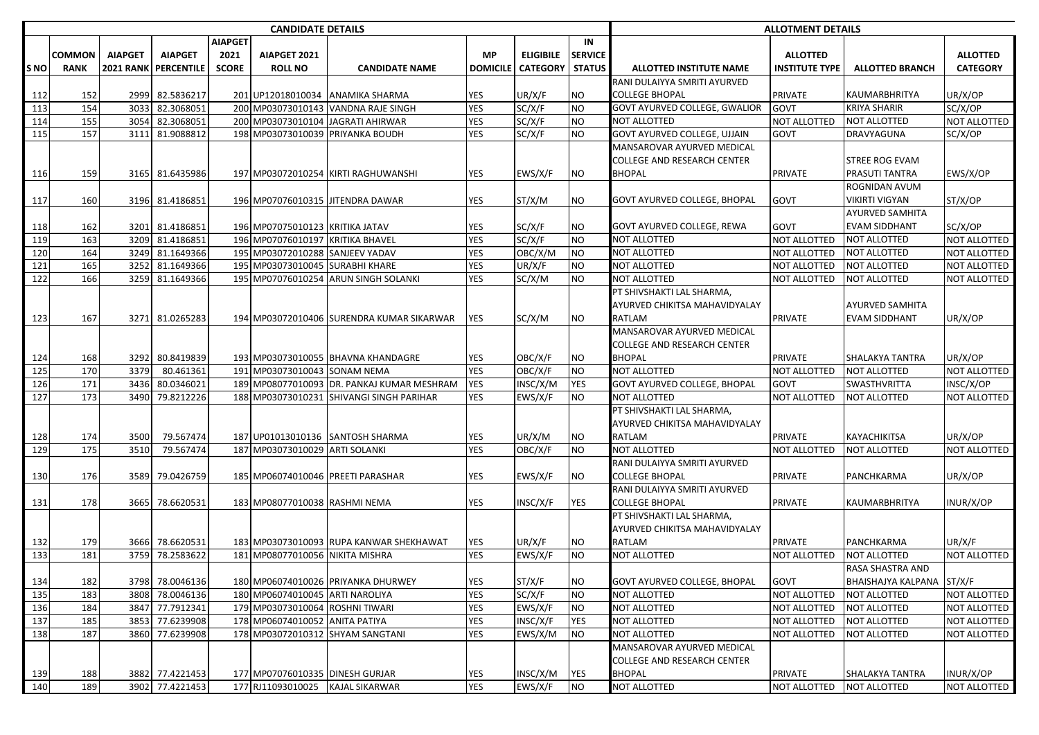|             |               |                |                             |                | <b>CANDIDATE DETAILS</b>         |                                            |                 |                  |                | <b>ALLOTMENT DETAILS</b>            |                     |                           |                 |  |
|-------------|---------------|----------------|-----------------------------|----------------|----------------------------------|--------------------------------------------|-----------------|------------------|----------------|-------------------------------------|---------------------|---------------------------|-----------------|--|
|             |               |                |                             | <b>AIAPGET</b> |                                  |                                            |                 |                  | IN             |                                     |                     |                           |                 |  |
|             | <b>COMMON</b> | <b>AIAPGET</b> | <b>AIAPGET</b>              | 2021           | AIAPGET 2021                     |                                            | <b>MP</b>       | <b>ELIGIBILE</b> | <b>SERVICE</b> |                                     | <b>ALLOTTED</b>     |                           | <b>ALLOTTED</b> |  |
| <b>S NO</b> | <b>RANK</b>   |                | <b>2021 RANK PERCENTILE</b> | <b>SCORE</b>   | <b>ROLL NO</b>                   | <b>CANDIDATE NAME</b>                      | <b>DOMICILE</b> | <b>CATEGORY</b>  | <b>STATUS</b>  | <b>ALLOTTED INSTITUTE NAME</b>      | INSTITUTE TYPE      | <b>ALLOTTED BRANCH</b>    | <b>CATEGORY</b> |  |
|             |               |                |                             |                |                                  |                                            |                 |                  |                | RANI DULAIYYA SMRITI AYURVED        |                     |                           |                 |  |
| 112         | 152           |                | 2999 82.5836217             |                | 201 UP12018010034                | <b>ANAMIKA SHARMA</b>                      | YES             | UR/X/F           | NO             | COLLEGE BHOPAL                      | <b>PRIVATE</b>      | KAUMARBHRITYA             | UR/X/OP         |  |
| 113         | 154           | 3033           | 82.3068051                  |                |                                  | 200 MP03073010143 VANDNA RAJE SINGH        | <b>YES</b>      | SC/X/F           | <b>NO</b>      | GOVT AYURVED COLLEGE, GWALIOR       | GOVT                | <b>KRIYA SHARIR</b>       | SC/X/OP         |  |
| 114         | 155           | 3054           | 82.3068051                  |                |                                  | 200 MP03073010104 JAGRATI AHIRWAR          | <b>YES</b>      | SC/X/F           | <b>NO</b>      | <b>NOT ALLOTTED</b>                 | <b>NOT ALLOTTED</b> | NOT ALLOTTED              | NOT ALLOTTED    |  |
| 115         | 157           | 3111           | 81.9088812                  |                |                                  | 198 MP03073010039 PRIYANKA BOUDH           | <b>YES</b>      | SC/X/F           | <b>NO</b>      | GOVT AYURVED COLLEGE, UJJAIN        | <b>GOVT</b>         | DRAVYAGUNA                | SC/X/OP         |  |
|             |               |                |                             |                |                                  |                                            |                 |                  |                | MANSAROVAR AYURVED MEDICAL          |                     |                           |                 |  |
|             |               |                |                             |                |                                  |                                            |                 |                  |                | COLLEGE AND RESEARCH CENTER         |                     | <b>STREE ROG EVAM</b>     |                 |  |
| 116         | 159           |                | 3165 81.6435986             |                |                                  | 197 MP03072010254 KIRTI RAGHUWANSHI        | YES             | EWS/X/F          | NO             | <b>BHOPAL</b>                       | <b>PRIVATE</b>      | PRASUTI TANTRA            | EWS/X/OP        |  |
|             |               |                |                             |                |                                  |                                            |                 |                  |                |                                     |                     | ROGNIDAN AVUM             |                 |  |
| 117         | 160           |                | 3196 81.4186851             |                |                                  | 196 MP07076010315 JITENDRA DAWAR           | YES             | ST/X/M           | NO             | GOVT AYURVED COLLEGE, BHOPAL        | GOVT                | VIKIRTI VIGYAN            | ST/X/OP         |  |
|             |               |                |                             |                |                                  |                                            |                 |                  |                |                                     |                     | <b>AYURVED SAMHITA</b>    |                 |  |
| 118         | 162           |                | 3201 81.4186851             |                | 196 MP07075010123 KRITIKA JATAV  |                                            | <b>YES</b>      | SC/X/F           | NO             | GOVT AYURVED COLLEGE, REWA          | GOVT                | <b>EVAM SIDDHANT</b>      | SC/X/OP         |  |
| 119         | 163           |                | 3209 81.4186851             |                | 196 MP07076010197 KRITIKA BHAVEL |                                            | <b>YES</b>      | SC/X/F           | <b>NO</b>      | <b>NOT ALLOTTED</b>                 | <b>NOT ALLOTTED</b> | NOT ALLOTTED              | NOT ALLOTTED    |  |
| 120         | 164           |                | 3249 81.1649366             |                | 195 MP03072010288 SANJEEV YADAV  |                                            | <b>YES</b>      | OBC/X/M          | <b>NO</b>      | <b>NOT ALLOTTED</b>                 | <b>NOT ALLOTTED</b> | NOT ALLOTTED              | NOT ALLOTTED    |  |
| 121         | 165           | 3252           | 81.1649366                  |                | 195 MP03073010045 SURABHI KHARE  |                                            | <b>YES</b>      | UR/X/F           | <b>NO</b>      | <b>NOT ALLOTTED</b>                 | <b>NOT ALLOTTED</b> | NOT ALLOTTED              | NOT ALLOTTED    |  |
| 122         | 166           | 3259           | 81.1649366                  |                | 195 MP07076010254                | <b>ARUN SINGH SOLANKI</b>                  | <b>YES</b>      | SC/X/M           | NO             | <b>NOT ALLOTTED</b>                 | NOT ALLOTTED        | <b>NOT ALLOTTED</b>       | NOT ALLOTTED    |  |
|             |               |                |                             |                |                                  |                                            |                 |                  |                | PT SHIVSHAKTI LAL SHARMA,           |                     |                           |                 |  |
|             |               |                |                             |                |                                  |                                            |                 |                  |                | AYURVED CHIKITSA MAHAVIDYALAY       |                     | <b>AYURVED SAMHITA</b>    |                 |  |
|             |               |                |                             |                |                                  |                                            |                 |                  |                | RATLAM                              |                     |                           |                 |  |
| 123         | 167           |                | 3271 81.0265283             |                |                                  | 194 MP03072010406 SURENDRA KUMAR SIKARWAR  | <b>YES</b>      | SC/X/M           | NO             | <b>MANSAROVAR AYURVED MEDICAL</b>   | <b>PRIVATE</b>      | EVAM SIDDHANT             | UR/X/OP         |  |
|             |               |                |                             |                |                                  |                                            |                 |                  |                |                                     |                     |                           |                 |  |
|             |               |                |                             |                |                                  |                                            |                 |                  |                | COLLEGE AND RESEARCH CENTER         |                     |                           |                 |  |
| 124         | 168           |                | 3292 80.8419839             |                |                                  | 193 MP03073010055 BHAVNA KHANDAGRE         | YES             | OBC/X/F          | <b>NO</b>      | <b>BHOPAL</b>                       | <b>PRIVATE</b>      | <b>SHALAKYA TANTRA</b>    | UR/X/OP         |  |
| 125         | 170           | 3379           | 80.461361                   |                | 191 MP03073010043                | <b>SONAM NEMA</b>                          | <b>YES</b>      | OBC/X/F          | <b>NO</b>      | <b>NOT ALLOTTED</b>                 | <b>NOT ALLOTTED</b> | <b>NOT ALLOTTED</b>       | NOT ALLOTTED    |  |
| 126         | 171           | 3436           | 80.0346021                  |                |                                  | 189 MP08077010093 DR. PANKAJ KUMAR MESHRAM | <b>YES</b>      | INSC/X/M         | <b>YES</b>     | <b>GOVT AYURVED COLLEGE, BHOPAL</b> | GOVT                | SWASTHVRITTA              | INSC/X/OP       |  |
| 127         | 173           | 3490           | 79.8212226                  |                |                                  | 188 MP03073010231 SHIVANGI SINGH PARIHAR   | YES             | EWS/X/F          | <b>NO</b>      | <b>NOT ALLOTTED</b>                 | <b>NOT ALLOTTED</b> | NOT ALLOTTED              | NOT ALLOTTED    |  |
|             |               |                |                             |                |                                  |                                            |                 |                  |                | PT SHIVSHAKTI LAL SHARMA,           |                     |                           |                 |  |
|             |               |                |                             |                |                                  |                                            |                 |                  |                | AYURVED CHIKITSA MAHAVIDYALAY       |                     |                           |                 |  |
| 128         | 174           | 3500           | 79.567474                   |                |                                  | 187 UP01013010136 SANTOSH SHARMA           | YES             | UR/X/M           | NO             | RATLAM                              | <b>PRIVATE</b>      | KAYACHIKITSA              | UR/X/OP         |  |
| 129         | 175           | 3510           | 79.567474                   |                | 187 MP03073010029                | <b>ARTI SOLANKI</b>                        | <b>YES</b>      | OBC/X/F          | <b>NO</b>      | NOT ALLOTTED                        | NOT ALLOTTED        | NOT ALLOTTED              | NOT ALLOTTED    |  |
|             |               |                |                             |                |                                  |                                            |                 |                  |                | RANI DULAIYYA SMRITI AYURVED        |                     |                           |                 |  |
| 130         | 176           |                | 3589 79.0426759             |                |                                  | 185 MP06074010046 PREETI PARASHAR          | YES             | EWS/X/F          | NO             | <b>COLLEGE BHOPAL</b>               | <b>PRIVATE</b>      | PANCHKARMA                | UR/X/OP         |  |
|             |               |                |                             |                |                                  |                                            |                 |                  |                | RANI DULAIYYA SMRITI AYURVED        |                     |                           |                 |  |
| 131         | 178           | 3665           | 78.6620531                  |                | 183 MP08077010038 RASHMI NEMA    |                                            | <b>YES</b>      | INSC/X/F         | YES            | COLLEGE BHOPAL                      | <b>PRIVATE</b>      | <b>KAUMARBHRITYA</b>      | INUR/X/OP       |  |
|             |               |                |                             |                |                                  |                                            |                 |                  |                | PT SHIVSHAKTI LAL SHARMA,           |                     |                           |                 |  |
|             |               |                |                             |                |                                  |                                            |                 |                  |                | AYURVED CHIKITSA MAHAVIDYALAY       |                     |                           |                 |  |
| 132         | 179           |                | 3666 78.6620531             |                |                                  | 183 MP03073010093 RUPA KANWAR SHEKHAWAT    | YES             | UR/X/F           | NO             | RATLAM                              | <b>PRIVATE</b>      | PANCHKARMA                | UR/X/F          |  |
| 133         | 181           | 3759           | 78.2583622                  |                | 181 MP08077010056 NIKITA MISHRA  |                                            | <b>YES</b>      | EWS/X/F          | <b>NO</b>      | NOT ALLOTTED                        | <b>NOT ALLOTTED</b> | NOT ALLOTTED              | NOT ALLOTTED    |  |
|             |               |                |                             |                |                                  |                                            |                 |                  |                |                                     |                     | RASA SHASTRA AND          |                 |  |
| 134         | 182           |                | 3798 78.0046136             |                |                                  | 180 MP06074010026 PRIYANKA DHURWEY         | <b>YES</b>      | ST/X/F           | <b>NO</b>      | <b>GOVT AYURVED COLLEGE, BHOPAL</b> | GOVT                | BHAISHAJYA KALPANA ST/X/F |                 |  |
| 135         | 183           |                | 3808 78.0046136             |                | 180 MP06074010045 ARTI NAROLIYA  |                                            | <b>YES</b>      | SC/X/F           | <b>NO</b>      | <b>NOT ALLOTTED</b>                 | <b>NOT ALLOTTED</b> | NOT ALLOTTED              | NOT ALLOTTED    |  |
| 136         | 184           |                | 3847 77.7912341             |                | 179 MP03073010064 ROSHNI TIWARI  |                                            | YES             | EWS/X/F          | <b>NO</b>      | <b>NOT ALLOTTED</b>                 | NOT ALLOTTED        | <b>NOT ALLOTTED</b>       | NOT ALLOTTED    |  |
| 137         | 185           |                | 3853 77.6239908             |                | 178 MP06074010052 ANITA PATIYA   |                                            | YES             | INSC/X/F         | <b>YES</b>     | <b>NOT ALLOTTED</b>                 | NOT ALLOTTED        | NOT ALLOTTED              | NOT ALLOTTED    |  |
| 138         | 187           |                | 3860 77.6239908             |                |                                  | 178 MP03072010312 SHYAM SANGTANI           | YES             | EWS/X/M          | <b>NO</b>      | NOT ALLOTTED                        | <b>NOT ALLOTTED</b> | <b>NOT ALLOTTED</b>       | NOT ALLOTTED    |  |
|             |               |                |                             |                |                                  |                                            |                 |                  |                | MANSAROVAR AYURVED MEDICAL          |                     |                           |                 |  |
|             |               |                |                             |                |                                  |                                            |                 |                  |                | <b>COLLEGE AND RESEARCH CENTER</b>  |                     |                           |                 |  |
| 139         | 188           |                | 3882 77.4221453             |                | 177 MP07076010335 DINESH GURJAR  |                                            | <b>YES</b>      | INSC/X/M         | <b>YES</b>     | <b>BHOPAL</b>                       | <b>PRIVATE</b>      | SHALAKYA TANTRA           | INUR/X/OP       |  |
| 140         | 189           |                | 3902 77.4221453             |                | 177 RJ11093010025 KAJAL SIKARWAR |                                            | <b>YES</b>      | EWS/X/F          | <b>NO</b>      | NOT ALLOTTED                        | NOT ALLOTTED        | NOT ALLOTTED              | NOT ALLOTTED    |  |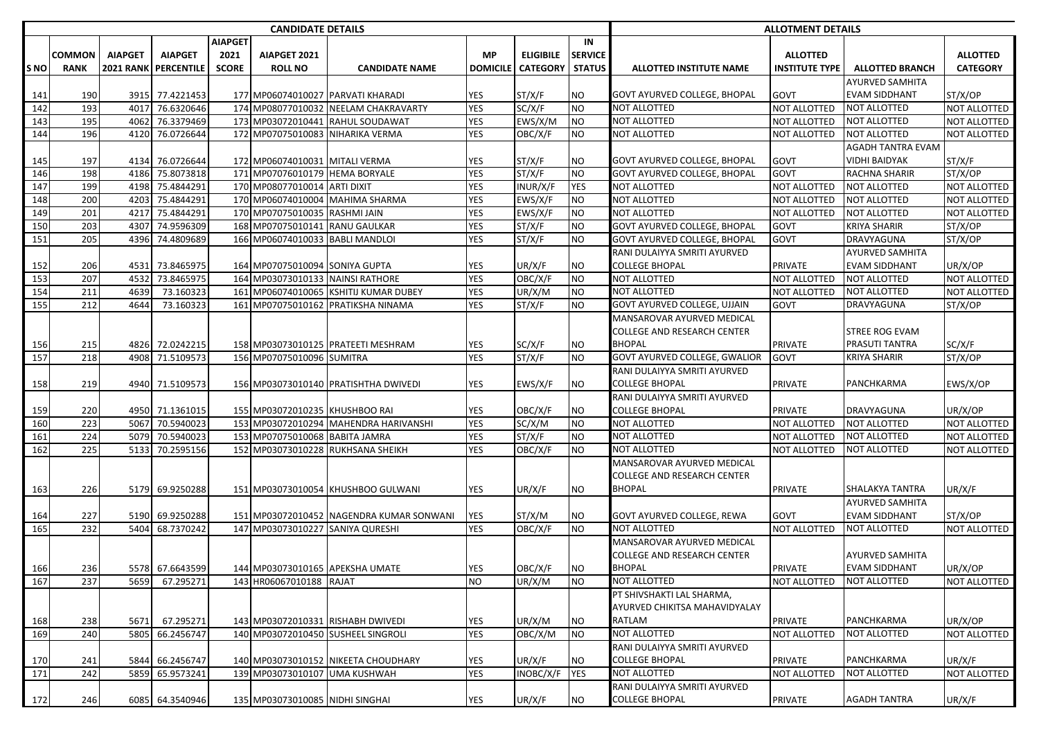|                  |             |                |                             |                | <b>CANDIDATE DETAILS</b>        |                                          |                 |                  |                |                                     | <b>ALLOTMENT DETAILS</b> |                          |                 |
|------------------|-------------|----------------|-----------------------------|----------------|---------------------------------|------------------------------------------|-----------------|------------------|----------------|-------------------------------------|--------------------------|--------------------------|-----------------|
|                  |             |                |                             | <b>AIAPGET</b> |                                 |                                          |                 |                  | IN             |                                     |                          |                          |                 |
|                  | COMMON      | <b>AIAPGET</b> | <b>AIAPGET</b>              | 2021           | AIAPGET 2021                    |                                          | <b>MP</b>       | <b>ELIGIBILE</b> | <b>SERVICE</b> |                                     | <b>ALLOTTED</b>          |                          | <b>ALLOTTED</b> |
| S NO             | <b>RANK</b> |                | <b>2021 RANK PERCENTILE</b> | <b>SCORE</b>   | <b>ROLL NO</b>                  | <b>CANDIDATE NAME</b>                    | <b>DOMICILE</b> | <b>CATEGORY</b>  | <b>STATUS</b>  | <b>ALLOTTED INSTITUTE NAME</b>      | <b>INSTITUTE TYPE</b>    | <b>ALLOTTED BRANCH</b>   | <b>CATEGORY</b> |
|                  |             |                |                             |                |                                 |                                          |                 |                  |                |                                     |                          | <b>AYURVED SAMHITA</b>   |                 |
| 141              | 190         |                | 3915 77.4221453             |                |                                 | 177 MP06074010027 PARVATI KHARADI        | YES             | ST/X/F           | <b>NO</b>      | GOVT AYURVED COLLEGE, BHOPAL        | GOVT                     | <b>EVAM SIDDHANT</b>     | ST/X/OP         |
| 142              | 193         | 4017           | 76.6320646                  |                |                                 | 174 MP08077010032 NEELAM CHAKRAVARTY     | <b>YES</b>      | SC/X/F           | <b>NO</b>      | <b>NOT ALLOTTED</b>                 | <b>NOT ALLOTTED</b>      | <b>NOT ALLOTTED</b>      | NOT ALLOTTED    |
| 143              | 195         | 4062           | 76.3379469                  |                |                                 | 173 MP03072010441 RAHUL SOUDAWAT         | <b>YES</b>      | EWS/X/M          | <b>NO</b>      | <b>NOT ALLOTTED</b>                 | NOT ALLOTTED             | <b>NOT ALLOTTED</b>      | NOT ALLOTTED    |
| 144              | 196         |                | 4120 76.0726644             |                |                                 | 172 MP07075010083 NIHARIKA VERMA         | <b>YES</b>      | OBC/X/F          | <b>NO</b>      | <b>NOT ALLOTTED</b>                 | NOT ALLOTTED             | <b>NOT ALLOTTED</b>      | NOT ALLOTTED    |
|                  |             |                |                             |                |                                 |                                          |                 |                  |                |                                     |                          | <b>AGADH TANTRA EVAM</b> |                 |
| 145              | 197         |                | 4134 76.0726644             |                | 172 MP06074010031 MITALI VERMA  |                                          | YES             | ST/X/F           | <b>NO</b>      | GOVT AYURVED COLLEGE, BHOPAL        | GOVT                     | <b>VIDHI BAIDYAK</b>     | ST/X/F          |
| 146              | 198         | 4186           | 75.8073818                  |                | 171 MP07076010179 HEMA BORYALE  |                                          | <b>YES</b>      | ST/X/F           | <b>NO</b>      | <b>GOVT AYURVED COLLEGE, BHOPAL</b> | GOVT                     | <b>RACHNA SHARIR</b>     | ST/X/OP         |
| 147              | 199         |                | 4198 75.4844291             |                | 170 MP08077010014 ARTI DIXIT    |                                          | YES             | INUR/X/F         | <b>YES</b>     | <b>NOT ALLOTTED</b>                 | NOT ALLOTTED             | <b>NOT ALLOTTED</b>      | NOT ALLOTTED    |
| 148              | 200         | 4203           | 75.4844291                  |                |                                 | 170 MP06074010004 MAHIMA SHARMA          | YES             | EWS/X/F          | <b>NO</b>      | <b>NOT ALLOTTED</b>                 | NOT ALLOTTED             | <b>NOT ALLOTTED</b>      | NOT ALLOTTED    |
| 149              | 201         | 4217           | 75.4844291                  |                | 170 MP07075010035 RASHMI JAIN   |                                          | YES             | EWS/X/F          | <b>NO</b>      | <b>NOT ALLOTTED</b>                 | NOT ALLOTTED             | <b>NOT ALLOTTED</b>      | NOT ALLOTTED    |
| 150              | 203         | 4307           | 74.9596309                  |                | 168 MP07075010141 RANU GAULKAR  |                                          | <b>YES</b>      | ST/X/F           | <b>NO</b>      | GOVT AYURVED COLLEGE, BHOPAL        | GOVT                     | <b>KRIYA SHARIR</b>      | ST/X/OP         |
| 151              | 205         |                | 4396 74.4809689             |                | 166 MP06074010033               | <b>BABLI MANDLOI</b>                     | <b>YES</b>      | ST/X/F           | <b>NO</b>      | <b>GOVT AYURVED COLLEGE, BHOPAL</b> | GOVT                     | DRAVYAGUNA               | ST/X/OP         |
|                  |             |                |                             |                |                                 |                                          |                 |                  |                | RANI DULAIYYA SMRITI AYURVED        |                          | <b>AYURVED SAMHITA</b>   |                 |
| 152              | 206         | 4531           | 73.8465975                  |                | 164 MP07075010094 SONIYA GUPTA  |                                          | YES             | UR/X/F           | <b>NO</b>      | <b>COLLEGE BHOPAL</b>               | PRIVATE                  | <b>EVAM SIDDHANT</b>     | UR/X/OP         |
| 153              | 207         | 4532           | 73.8465975                  |                |                                 | 164 MP03073010133 NAINSI RATHORE         | <b>YES</b>      | OBC/X/F          | <b>NO</b>      | NOT ALLOTTED                        | NOT ALLOTTED             | <b>NOT ALLOTTED</b>      | NOT ALLOTTED    |
| 154              | 211         | 4639           | 73.160323                   |                |                                 | 161 MP06074010065 KSHITIJ KUMAR DUBEY    | <b>YES</b>      | UR/X/M           | <b>NO</b>      | <b>NOT ALLOTTED</b>                 | NOT ALLOTTED             | <b>NOT ALLOTTED</b>      | NOT ALLOTTED    |
| 155              | 212         | 4644           | 73.160323                   |                | 161 MP07075010162               | <b>PRATIKSHA NINAMA</b>                  | <b>YES</b>      | ST/X/F           | <b>NO</b>      | GOVT AYURVED COLLEGE, UJJAIN        | GOVT                     | DRAVYAGUNA               | ST/X/OP         |
|                  |             |                |                             |                |                                 |                                          |                 |                  |                | MANSAROVAR AYURVED MEDICAL          |                          |                          |                 |
|                  |             |                |                             |                |                                 |                                          |                 |                  |                | <b>COLLEGE AND RESEARCH CENTER</b>  |                          | <b>STREE ROG EVAM</b>    |                 |
| 156              | 215         |                | 4826 72.0242215             |                |                                 | 158 MP03073010125 PRATEETI MESHRAM       | YES             | SC/X/F           | <b>NO</b>      | <b>BHOPAL</b>                       | <b>PRIVATE</b>           | <b>PRASUTI TANTRA</b>    | SC/X/F          |
| 157              | 218         |                | 4908 71.5109573             |                | 156 MP07075010096 SUMITRA       |                                          | <b>YES</b>      | ST/X/F           | <b>NO</b>      | GOVT AYURVED COLLEGE, GWALIOR       | GOVT                     | <b>KRIYA SHARIR</b>      | ST/X/OP         |
|                  |             |                |                             |                |                                 |                                          |                 |                  |                | RANI DULAIYYA SMRITI AYURVED        |                          |                          |                 |
| 158              | 219         |                | 4940 71.5109573             |                |                                 | 156 MP03073010140 PRATISHTHA DWIVEDI     | YES             | EWS/X/F          | <b>NO</b>      | <b>COLLEGE BHOPAL</b>               | PRIVATE                  | PANCHKARMA               | EWS/X/OP        |
|                  |             |                |                             |                |                                 |                                          |                 |                  |                | RANI DULAIYYA SMRITI AYURVED        |                          |                          |                 |
| 159              | 220         |                | 4950 71.1361015             |                | 155 MP03072010235 KHUSHBOO RAI  |                                          | YES             | OBC/X/F          | <b>NO</b>      | <b>COLLEGE BHOPAL</b>               | PRIVATE                  | DRAVYAGUNA               | UR/X/OP         |
| 160              | 223         | 5067           | 70.5940023                  |                |                                 | 153 MP03072010294 MAHENDRA HARIVANSHI    | <b>YES</b>      | SC/X/M           | <b>NO</b>      | NOT ALLOTTED                        | NOT ALLOTTED             | <b>NOT ALLOTTED</b>      | NOT ALLOTTED    |
| 161              | 224         |                | 5079 70.5940023             |                | 153 MP07075010068 BABITA JAMRA  |                                          | <b>YES</b>      | ST/X/F           | <b>NO</b>      | <b>NOT ALLOTTED</b>                 | <b>NOT ALLOTTED</b>      | <b>NOT ALLOTTED</b>      | NOT ALLOTTED    |
| 162              | 225         | 5133           | 70.2595156                  |                |                                 | 152 MP03073010228 RUKHSANA SHEIKH        | <b>YES</b>      | OBC/X/F          | <b>NO</b>      | <b>NOT ALLOTTED</b>                 | NOT ALLOTTED             | <b>NOT ALLOTTED</b>      | NOT ALLOTTED    |
|                  |             |                |                             |                |                                 |                                          |                 |                  |                | MANSAROVAR AYURVED MEDICAL          |                          |                          |                 |
|                  |             |                |                             |                |                                 |                                          |                 |                  |                | <b>COLLEGE AND RESEARCH CENTER</b>  |                          |                          |                 |
| 163              | 226         |                | 5179 69.9250288             |                |                                 | 151 MP03073010054 KHUSHBOO GULWANI       | YES             | UR/X/F           | NO.            | <b>BHOPAL</b>                       | <b>PRIVATE</b>           | SHALAKYA TANTRA          | UR/X/F          |
|                  |             |                |                             |                |                                 |                                          |                 |                  |                |                                     |                          | <b>AYURVED SAMHITA</b>   |                 |
| 164              | 227         |                | 5190 69.9250288             |                |                                 | 151 MP03072010452 NAGENDRA KUMAR SONWANI | <b>YES</b>      | ST/X/M           | <b>NO</b>      | GOVT AYURVED COLLEGE, REWA          | GOVT                     | <b>EVAM SIDDHANT</b>     | ST/X/OP         |
| 165              | 232         | 5404           | 68.7370242                  |                |                                 | 147 MP03073010227 SANIYA QURESHI         | <b>YES</b>      | OBC/X/F          | <b>NO</b>      | <b>NOT ALLOTTED</b>                 | <b>NOT ALLOTTED</b>      | <b>NOT ALLOTTED</b>      | NOT ALLOTTED    |
|                  |             |                |                             |                |                                 |                                          |                 |                  |                | MANSAROVAR AYURVED MEDICAL          |                          |                          |                 |
|                  |             |                |                             |                |                                 |                                          |                 |                  |                | COLLEGE AND RESEARCH CENTER         |                          | <b>AYURVED SAMHITA</b>   |                 |
| 166              | 236         |                | 5578 67.6643599             |                |                                 | 144 MP03073010165 APEKSHA UMATE          | <b>YES</b>      | OBC/X/F          | <b>NO</b>      | <b>BHOPAL</b>                       | <b>PRIVATE</b>           | <b>EVAM SIDDHANT</b>     | UR/X/OP         |
| 167              | 237         | 5659           | 67.295271                   |                | 143 HR06067010188 RAJAT         |                                          | <b>NO</b>       | UR/X/M           | <b>NO</b>      | <b>NOT ALLOTTED</b>                 | NOT ALLOTTED             | <b>NOT ALLOTTED</b>      | NOT ALLOTTED    |
|                  |             |                |                             |                |                                 |                                          |                 |                  |                | PT SHIVSHAKTI LAL SHARMA,           |                          |                          |                 |
|                  |             |                |                             |                |                                 |                                          |                 |                  |                | AYURVED CHIKITSA MAHAVIDYALAY       |                          |                          |                 |
| 168              | 238         | 5671           | 67.295271                   |                |                                 | 143 MP03072010331 RISHABH DWIVEDI        | YES             | UR/X/M           | <b>NO</b>      | RATLAM                              | PRIVATE                  | PANCHKARMA               | UR/X/OP         |
| 169              | 240         | 5805           | 66.2456747                  |                |                                 | 140 MP03072010450 SUSHEEL SINGROLI       | <b>YES</b>      | OBC/X/M          | <b>NO</b>      | NOT ALLOTTED                        | NOT ALLOTTED             | <b>NOT ALLOTTED</b>      | NOT ALLOTTED    |
|                  |             |                |                             |                |                                 |                                          |                 |                  |                | RANI DULAIYYA SMRITI AYURVED        |                          |                          |                 |
| 170              | 241         | 5844           | 66.2456747                  |                |                                 | 140 MP03073010152 NIKEETA CHOUDHARY      | YES             | UR/X/F           | <b>NO</b>      | <b>COLLEGE BHOPAL</b>               | PRIVATE                  | PANCHKARMA               | UR/X/F          |
| $\overline{171}$ | 242         | 5859           | 65.9573241                  |                | 139 MP03073010107 UMA KUSHWAH   |                                          | YES             | INOBC/X/F        | <b>YES</b>     | <b>NOT ALLOTTED</b>                 | NOT ALLOTTED             | <b>NOT ALLOTTED</b>      | NOT ALLOTTED    |
|                  |             |                |                             |                |                                 |                                          |                 |                  |                | RANI DULAIYYA SMRITI AYURVED        |                          |                          |                 |
| 172              | 246         |                | 6085 64.3540946             |                | 135 MP03073010085 NIDHI SINGHAI |                                          | YES             | UR/X/F           | <b>NO</b>      | COLLEGE BHOPAL                      | PRIVATE                  | <b>AGADH TANTRA</b>      | UR/X/F          |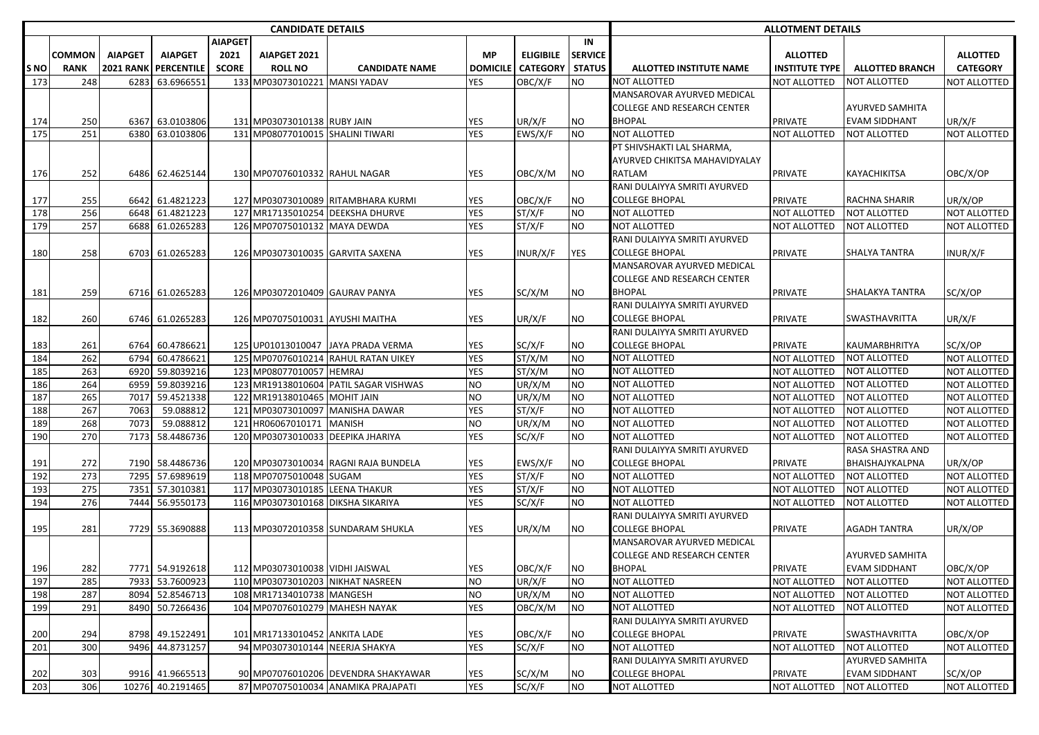|             |             |                  |                   |                | <b>CANDIDATE DETAILS</b>          |                                       |                 |                  |                | <b>ALLOTMENT DETAILS</b>           |                       |                        |                     |  |  |  |
|-------------|-------------|------------------|-------------------|----------------|-----------------------------------|---------------------------------------|-----------------|------------------|----------------|------------------------------------|-----------------------|------------------------|---------------------|--|--|--|
|             |             |                  |                   | <b>AIAPGET</b> |                                   |                                       |                 |                  | IN             |                                    |                       |                        |                     |  |  |  |
|             | COMMON      | <b>AIAPGET</b>   | <b>AIAPGET</b>    | 2021           | AIAPGET 2021                      |                                       | <b>MP</b>       | <b>ELIGIBILE</b> | <b>SERVICE</b> |                                    | <b>ALLOTTED</b>       |                        | <b>ALLOTTED</b>     |  |  |  |
| <b>S NO</b> | <b>RANK</b> | <b>2021 RANK</b> | <b>PERCENTILE</b> | <b>SCORE</b>   | <b>ROLL NO</b>                    | <b>CANDIDATE NAME</b>                 | <b>DOMICILE</b> | <b>CATEGORY</b>  | <b>STATUS</b>  | <b>ALLOTTED INSTITUTE NAME</b>     | <b>INSTITUTE TYPE</b> | <b>ALLOTTED BRANCH</b> | <b>CATEGORY</b>     |  |  |  |
| 173         | 248         | 6283             | 63.6966551        |                | 133 MP03073010221                 | <b>MANSI YADAV</b>                    | <b>YES</b>      | OBC/X/F          | NO             | NOT ALLOTTED                       | <b>NOT ALLOTTED</b>   | NOT ALLOTTED           | NOT ALLOTTED        |  |  |  |
|             |             |                  |                   |                |                                   |                                       |                 |                  |                | MANSAROVAR AYURVED MEDICAL         |                       |                        |                     |  |  |  |
|             |             |                  |                   |                |                                   |                                       |                 |                  |                | <b>COLLEGE AND RESEARCH CENTER</b> |                       | <b>AYURVED SAMHITA</b> |                     |  |  |  |
| 174         | 250         |                  | 6367 63.0103806   |                | 131 MP03073010138 RUBY JAIN       |                                       | YES             | UR/X/F           | NO             | <b>BHOPAL</b>                      | <b>PRIVATE</b>        | <b>EVAM SIDDHANT</b>   | UR/X/F              |  |  |  |
| 175         | 251         | 6380             | 63.0103806        |                | 131 MP08077010015 SHALINI TIWARI  |                                       | <b>YES</b>      | EWS/X/F          | NO             | <b>NOT ALLOTTED</b>                | <b>NOT ALLOTTED</b>   | <b>NOT ALLOTTED</b>    | NOT ALLOTTED        |  |  |  |
|             |             |                  |                   |                |                                   |                                       |                 |                  |                | PT SHIVSHAKTI LAL SHARMA,          |                       |                        |                     |  |  |  |
|             |             |                  |                   |                |                                   |                                       |                 |                  |                | AYURVED CHIKITSA MAHAVIDYALAY      |                       |                        |                     |  |  |  |
| 176         | 252         |                  | 6486 62.4625144   |                | 130 MP07076010332 RAHUL NAGAR     |                                       | YES             | OBC/X/M          | NO             | <b>RATLAM</b>                      | <b>PRIVATE</b>        | KAYACHIKITSA           | OBC/X/OP            |  |  |  |
|             |             |                  |                   |                |                                   |                                       |                 |                  |                | RANI DULAIYYA SMRITI AYURVED       |                       |                        |                     |  |  |  |
| 177         | 255         |                  | 6642 61.4821223   |                |                                   | 127 MP03073010089 RITAMBHARA KURMI    | YES             | OBC/X/F          | <b>NO</b>      | COLLEGE BHOPAL                     | <b>PRIVATE</b>        | RACHNA SHARIR          | UR/X/OP             |  |  |  |
| 178         | 256         |                  | 6648 61.4821223   |                | 127 MR17135010254                 | <b>DEEKSHA DHURVE</b>                 | <b>YES</b>      | ST/X/F           | <b>NO</b>      | <b>NOT ALLOTTED</b>                | <b>NOT ALLOTTED</b>   | NOT ALLOTTED           | NOT ALLOTTED        |  |  |  |
| 179         | 257         |                  | 6688 61.0265283   |                | 126 MP07075010132 MAYA DEWDA      |                                       | <b>YES</b>      | ST/X/F           | <b>NO</b>      | <b>NOT ALLOTTED</b>                | <b>NOT ALLOTTED</b>   | <b>NOT ALLOTTED</b>    | NOT ALLOTTED        |  |  |  |
|             |             |                  |                   |                |                                   |                                       |                 |                  |                | RANI DULAIYYA SMRITI AYURVED       |                       |                        |                     |  |  |  |
| 180         | 258         |                  | 6703 61.0265283   |                |                                   | 126 MP03073010035 GARVITA SAXENA      | YES             | INUR/X/F         | YES            | <b>COLLEGE BHOPAL</b>              | <b>PRIVATE</b>        | SHALYA TANTRA          | INUR/X/F            |  |  |  |
|             |             |                  |                   |                |                                   |                                       |                 |                  |                | MANSAROVAR AYURVED MEDICAL         |                       |                        |                     |  |  |  |
|             |             |                  |                   |                |                                   |                                       |                 |                  |                | <b>COLLEGE AND RESEARCH CENTER</b> |                       |                        |                     |  |  |  |
| 181         | 259         |                  | 6716 61.0265283   |                | 126 MP03072010409 GAURAV PANYA    |                                       | YES             | SC/X/M           | NO             | <b>BHOPAL</b>                      | <b>PRIVATE</b>        | <b>SHALAKYA TANTRA</b> | SC/X/OP             |  |  |  |
|             |             |                  |                   |                |                                   |                                       |                 |                  |                | RANI DULAIYYA SMRITI AYURVED       |                       |                        |                     |  |  |  |
| 182         | 260         |                  | 6746 61.0265283   |                | 126 MP07075010031 AYUSHI MAITHA   |                                       | YES             | UR/X/F           | NO             | COLLEGE BHOPAL                     | <b>PRIVATE</b>        | SWASTHAVRITTA          | UR/X/F              |  |  |  |
|             |             |                  |                   |                |                                   |                                       |                 |                  |                | RANI DULAIYYA SMRITI AYURVED       |                       |                        |                     |  |  |  |
| 183         | 261         |                  | 6764 60.4786621   |                |                                   | 125 UP01013010047 JAYA PRADA VERMA    | <b>YES</b>      | SC/X/F           | NO             | COLLEGE BHOPAL                     | <b>PRIVATE</b>        | KAUMARBHRITYA          | SC/X/OP             |  |  |  |
| 184         | 262         | 6794             | 60.4786621        |                |                                   | 125 MP07076010214 RAHUL RATAN UIKEY   | <b>YES</b>      | ST/X/M           | <b>NO</b>      | <b>NOT ALLOTTED</b>                | <b>NOT ALLOTTED</b>   | <b>NOT ALLOTTED</b>    | NOT ALLOTTED        |  |  |  |
| 185         | 263         |                  | 6920 59.8039216   |                | 123 MP08077010057                 | <b>HEMRAJ</b>                         | <b>YES</b>      | ST/X/M           | <b>NO</b>      | <b>NOT ALLOTTED</b>                | <b>NOT ALLOTTED</b>   | <b>NOT ALLOTTED</b>    | <b>NOT ALLOTTED</b> |  |  |  |
| 186         | 264         |                  | 6959 59.8039216   |                |                                   | 123 MR19138010604 PATIL SAGAR VISHWAS | <b>NO</b>       | UR/X/M           | <b>NO</b>      | <b>NOT ALLOTTED</b>                | <b>NOT ALLOTTED</b>   | NOT ALLOTTED           | NOT ALLOTTED        |  |  |  |
| 187         | 265         | 7017             | 59.4521338        |                | 122 MR19138010465 MOHIT JAIN      |                                       | <b>NO</b>       | UR/X/M           | Ю              | <b>NOT ALLOTTED</b>                | <b>NOT ALLOTTED</b>   | <b>NOT ALLOTTED</b>    | NOT ALLOTTED        |  |  |  |
| 188         | 267         | 7063             | 59.088812         |                |                                   | 121 MP03073010097 MANISHA DAWAR       | <b>YES</b>      | ST/X/F           | <b>NO</b>      | <b>NOT ALLOTTED</b>                | <b>NOT ALLOTTED</b>   | <b>NOT ALLOTTED</b>    | NOT ALLOTTED        |  |  |  |
| 189         | 268         | 7073             | 59.088812         |                | 121 HR06067010171                 | <b>MANISH</b>                         | NO              | UR/X/M           | <b>NO</b>      | <b>NOT ALLOTTED</b>                | <b>NOT ALLOTTED</b>   | <b>NOT ALLOTTED</b>    | NOT ALLOTTED        |  |  |  |
| 190         | 270         | 7173             | 58.4486736        |                | 120 MP03073010033 DEEPIKA JHARIYA |                                       | <b>YES</b>      | SC/X/F           | <b>NO</b>      | <b>NOT ALLOTTED</b>                | <b>NOT ALLOTTED</b>   | NOT ALLOTTED           | NOT ALLOTTED        |  |  |  |
|             |             |                  |                   |                |                                   |                                       |                 |                  |                | RANI DULAIYYA SMRITI AYURVED       |                       | RASA SHASTRA AND       |                     |  |  |  |
| 191         | 272         |                  | 7190 58.4486736   |                |                                   | 120 MP03073010034 RAGNI RAJA BUNDELA  | YES             | EWS/X/F          | NO             | <b>COLLEGE BHOPAL</b>              | <b>PRIVATE</b>        | BHAISHAJYKALPNA        | UR/X/OP             |  |  |  |
| 192         | 273         |                  | 7295 57.6989619   |                | 118 MP07075010048 SUGAM           |                                       | <b>YES</b>      | ST/X/F           | <b>NO</b>      | <b>NOT ALLOTTED</b>                | <b>NOT ALLOTTED</b>   | <b>NOT ALLOTTED</b>    | NOT ALLOTTED        |  |  |  |
| 193         | 275         | 7351             | 57.3010381        |                | 117 MP03073010185 LEENA THAKUR    |                                       | <b>YES</b>      | ST/X/F           | NO             | NOT ALLOTTED                       | <b>NOT ALLOTTED</b>   | NOT ALLOTTED           | NOT ALLOTTED        |  |  |  |
| 194         | 276         |                  | 7444 56.9550173   |                | 116 MP03073010168 DIKSHA SIKARIYA |                                       | <b>YES</b>      | SC/X/F           | NO             | <b>NOT ALLOTTED</b>                | <b>NOT ALLOTTED</b>   | NOT ALLOTTED           | NOT ALLOTTED        |  |  |  |
|             |             |                  |                   |                |                                   |                                       |                 |                  |                | RANI DULAIYYA SMRITI AYURVED       |                       |                        |                     |  |  |  |
| 195         | 281         |                  | 7729 55.3690888   |                |                                   | 113 MP03072010358 SUNDARAM SHUKLA     | <b>YES</b>      | UR/X/M           | NO             | <b>COLLEGE BHOPAL</b>              | <b>PRIVATE</b>        | <b>AGADH TANTRA</b>    | UR/X/OP             |  |  |  |
|             |             |                  |                   |                |                                   |                                       |                 |                  |                | MANSAROVAR AYURVED MEDICAL         |                       |                        |                     |  |  |  |
|             |             |                  |                   |                |                                   |                                       |                 |                  |                | COLLEGE AND RESEARCH CENTER        |                       | AYURVED SAMHITA        |                     |  |  |  |
| 196         | 282         |                  | 7771 54.9192618   |                | 112 MP03073010038 VIDHI JAISWAL   |                                       | <b>YES</b>      | OBC/X/F          | NO.            | <b>BHOPAL</b>                      | PRIVATE               | <b>EVAM SIDDHANT</b>   | OBC/X/OP            |  |  |  |
| 197         | 285         |                  | 7933 53.7600923   |                |                                   | 110 MP03073010203 NIKHAT NASREEN      | <b>NO</b>       | UR/X/F           | <b>NO</b>      | <b>NOT ALLOTTED</b>                | NOT ALLOTTED          | <b>NOT ALLOTTED</b>    | NOT ALLOTTED        |  |  |  |
| 198         | 287         |                  | 8094 52.8546713   |                | 108 MR17134010738 MANGESH         |                                       | N <sub>O</sub>  | UR/X/M           | <b>NO</b>      | <b>NOT ALLOTTED</b>                | NOT ALLOTTED          | <b>NOT ALLOTTED</b>    | NOT ALLOTTED        |  |  |  |
| 199         | 291         |                  | 8490 50.7266436   |                | 104 MP07076010279 MAHESH NAYAK    |                                       | YES             | OBC/X/M          | <b>NO</b>      | NOT ALLOTTED                       | <b>NOT ALLOTTED</b>   | <b>NOT ALLOTTED</b>    | NOT ALLOTTED        |  |  |  |
|             |             |                  |                   |                |                                   |                                       |                 |                  |                | RANI DULAIYYA SMRITI AYURVED       |                       |                        |                     |  |  |  |
| 200         | 294         |                  | 8798 49.1522491   |                | 101 MR17133010452 ANKITA LADE     |                                       | <b>YES</b>      | OBC/X/F          | ΝO             | <b>COLLEGE BHOPAL</b>              | <b>PRIVATE</b>        | SWASTHAVRITTA          | OBC/X/OP            |  |  |  |
| 201         | 300         |                  | 9496 44.8731257   |                | 94 MP03073010144 NEERJA SHAKYA    |                                       | <b>YES</b>      | SC/X/F           | <b>NO</b>      | <b>NOT ALLOTTED</b>                | NOT ALLOTTED          | NOT ALLOTTED           | NOT ALLOTTED        |  |  |  |
|             |             |                  |                   |                |                                   |                                       |                 |                  |                | RANI DULAIYYA SMRITI AYURVED       |                       | AYURVED SAMHITA        |                     |  |  |  |
| 202         | 303         |                  | 9916 41.9665513   |                |                                   | 90 MP07076010206 DEVENDRA SHAKYAWAR   | <b>YES</b>      | SC/X/M           | <b>NO</b>      | <b>COLLEGE BHOPAL</b>              | <b>PRIVATE</b>        | <b>EVAM SIDDHANT</b>   | SC/X/OP             |  |  |  |
| 203         | 306         |                  | 10276 40.2191465  |                |                                   | 87 MP07075010034 ANAMIKA PRAJAPATI    | <b>YES</b>      | SC/X/F           | <b>NO</b>      | NOT ALLOTTED                       | <b>NOT ALLOTTED</b>   | NOT ALLOTTED           | NOT ALLOTTED        |  |  |  |